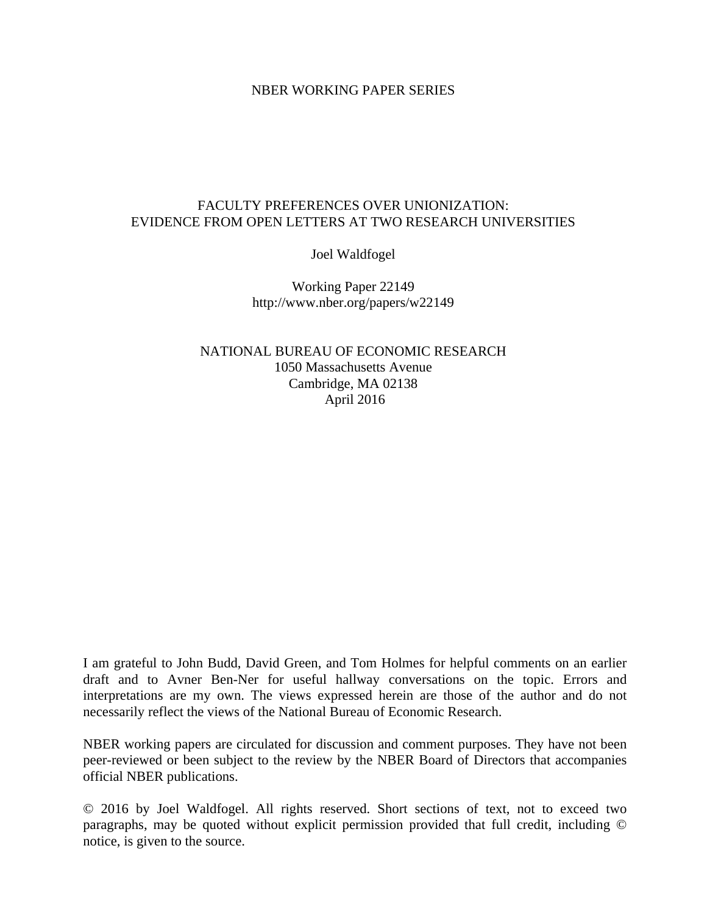### NBER WORKING PAPER SERIES

### FACULTY PREFERENCES OVER UNIONIZATION: EVIDENCE FROM OPEN LETTERS AT TWO RESEARCH UNIVERSITIES

Joel Waldfogel

Working Paper 22149 http://www.nber.org/papers/w22149

NATIONAL BUREAU OF ECONOMIC RESEARCH 1050 Massachusetts Avenue Cambridge, MA 02138 April 2016

I am grateful to John Budd, David Green, and Tom Holmes for helpful comments on an earlier draft and to Avner Ben-Ner for useful hallway conversations on the topic. Errors and interpretations are my own. The views expressed herein are those of the author and do not necessarily reflect the views of the National Bureau of Economic Research.

NBER working papers are circulated for discussion and comment purposes. They have not been peer-reviewed or been subject to the review by the NBER Board of Directors that accompanies official NBER publications.

© 2016 by Joel Waldfogel. All rights reserved. Short sections of text, not to exceed two paragraphs, may be quoted without explicit permission provided that full credit, including © notice, is given to the source.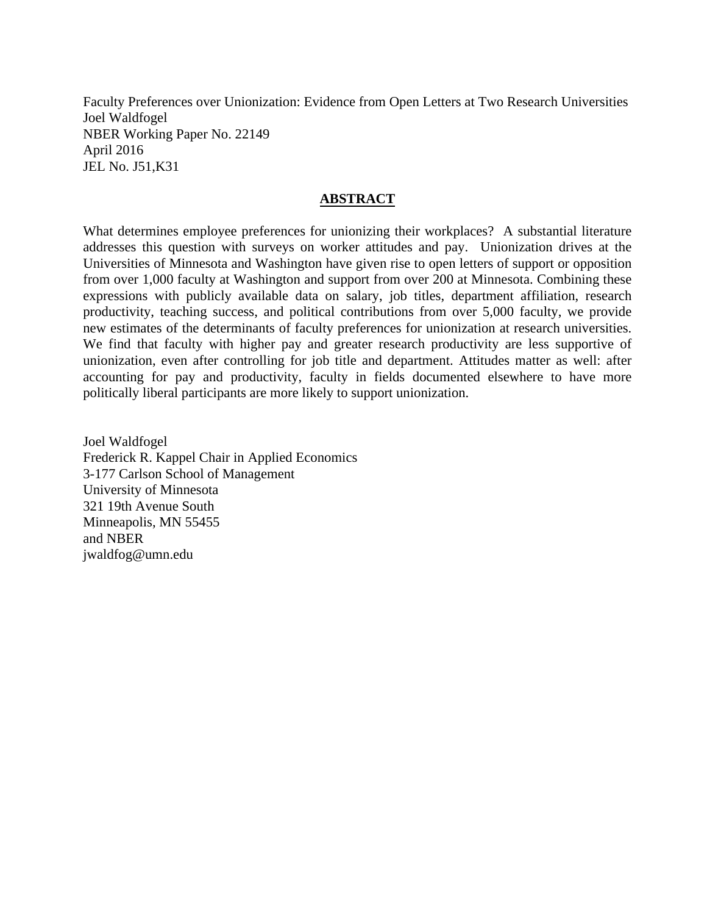Faculty Preferences over Unionization: Evidence from Open Letters at Two Research Universities Joel Waldfogel NBER Working Paper No. 22149 April 2016 JEL No. J51,K31

### **ABSTRACT**

What determines employee preferences for unionizing their workplaces? A substantial literature addresses this question with surveys on worker attitudes and pay. Unionization drives at the Universities of Minnesota and Washington have given rise to open letters of support or opposition from over 1,000 faculty at Washington and support from over 200 at Minnesota. Combining these expressions with publicly available data on salary, job titles, department affiliation, research productivity, teaching success, and political contributions from over 5,000 faculty, we provide new estimates of the determinants of faculty preferences for unionization at research universities. We find that faculty with higher pay and greater research productivity are less supportive of unionization, even after controlling for job title and department. Attitudes matter as well: after accounting for pay and productivity, faculty in fields documented elsewhere to have more politically liberal participants are more likely to support unionization.

Joel Waldfogel Frederick R. Kappel Chair in Applied Economics 3-177 Carlson School of Management University of Minnesota 321 19th Avenue South Minneapolis, MN 55455 and NBER jwaldfog@umn.edu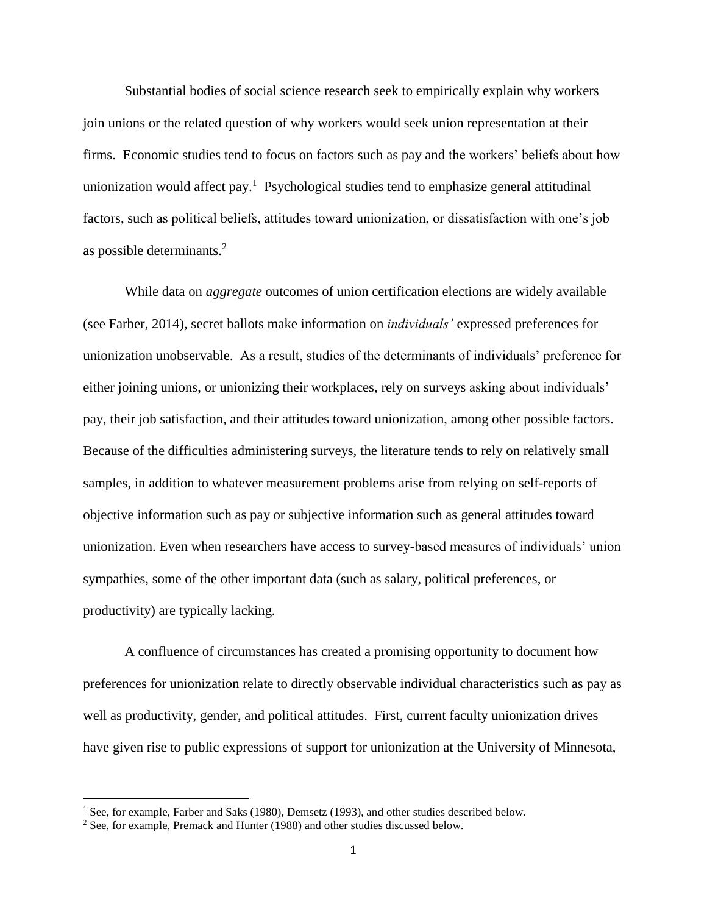Substantial bodies of social science research seek to empirically explain why workers join unions or the related question of why workers would seek union representation at their firms. Economic studies tend to focus on factors such as pay and the workers' beliefs about how unionization would affect pay.<sup>1</sup> Psychological studies tend to emphasize general attitudinal factors, such as political beliefs, attitudes toward unionization, or dissatisfaction with one's job as possible determinants.<sup>2</sup>

While data on *aggregate* outcomes of union certification elections are widely available (see Farber, 2014), secret ballots make information on *individuals'* expressed preferences for unionization unobservable. As a result, studies of the determinants of individuals' preference for either joining unions, or unionizing their workplaces, rely on surveys asking about individuals' pay, their job satisfaction, and their attitudes toward unionization, among other possible factors. Because of the difficulties administering surveys, the literature tends to rely on relatively small samples, in addition to whatever measurement problems arise from relying on self-reports of objective information such as pay or subjective information such as general attitudes toward unionization. Even when researchers have access to survey-based measures of individuals' union sympathies, some of the other important data (such as salary, political preferences, or productivity) are typically lacking.

A confluence of circumstances has created a promising opportunity to document how preferences for unionization relate to directly observable individual characteristics such as pay as well as productivity, gender, and political attitudes. First, current faculty unionization drives have given rise to public expressions of support for unionization at the University of Minnesota,

<sup>&</sup>lt;sup>1</sup> See, for example, Farber and Saks (1980), Demsetz (1993), and other studies described below.

<sup>&</sup>lt;sup>2</sup> See, for example, Premack and Hunter (1988) and other studies discussed below.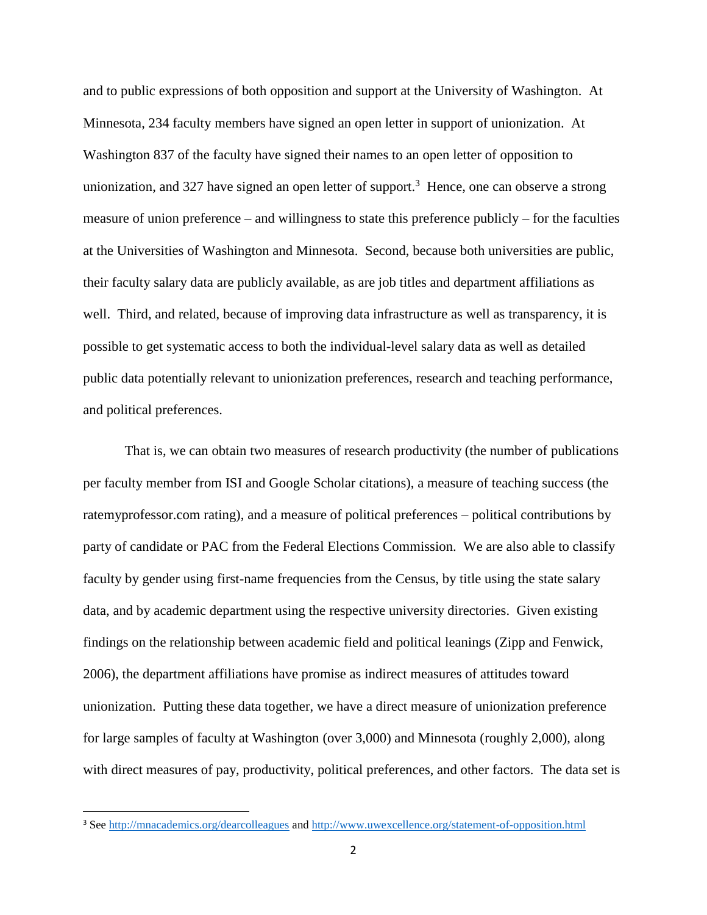and to public expressions of both opposition and support at the University of Washington. At Minnesota, 234 faculty members have signed an open letter in support of unionization. At Washington 837 of the faculty have signed their names to an open letter of opposition to unionization, and 327 have signed an open letter of support.<sup>3</sup> Hence, one can observe a strong measure of union preference – and willingness to state this preference publicly – for the faculties at the Universities of Washington and Minnesota. Second, because both universities are public, their faculty salary data are publicly available, as are job titles and department affiliations as well. Third, and related, because of improving data infrastructure as well as transparency, it is possible to get systematic access to both the individual-level salary data as well as detailed public data potentially relevant to unionization preferences, research and teaching performance, and political preferences.

That is, we can obtain two measures of research productivity (the number of publications per faculty member from ISI and Google Scholar citations), a measure of teaching success (the ratemyprofessor.com rating), and a measure of political preferences – political contributions by party of candidate or PAC from the Federal Elections Commission. We are also able to classify faculty by gender using first-name frequencies from the Census, by title using the state salary data, and by academic department using the respective university directories. Given existing findings on the relationship between academic field and political leanings (Zipp and Fenwick, 2006), the department affiliations have promise as indirect measures of attitudes toward unionization. Putting these data together, we have a direct measure of unionization preference for large samples of faculty at Washington (over 3,000) and Minnesota (roughly 2,000), along with direct measures of pay, productivity, political preferences, and other factors. The data set is

<sup>&</sup>lt;sup>3</sup> See<http://mnacademics.org/dearcolleagues> and<http://www.uwexcellence.org/statement-of-opposition.html>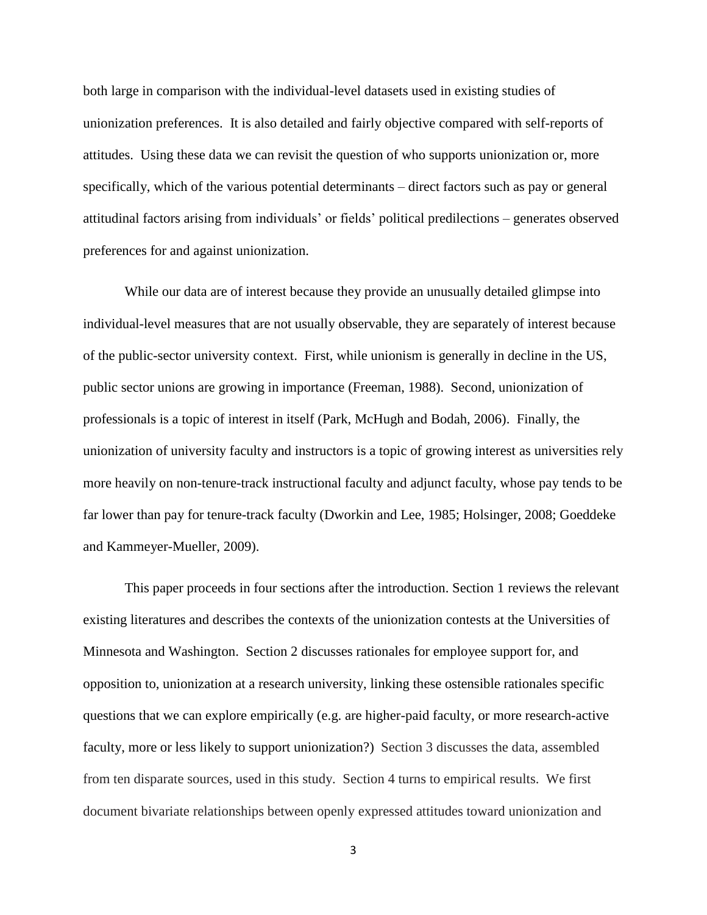both large in comparison with the individual-level datasets used in existing studies of unionization preferences. It is also detailed and fairly objective compared with self-reports of attitudes. Using these data we can revisit the question of who supports unionization or, more specifically, which of the various potential determinants – direct factors such as pay or general attitudinal factors arising from individuals' or fields' political predilections – generates observed preferences for and against unionization.

While our data are of interest because they provide an unusually detailed glimpse into individual-level measures that are not usually observable, they are separately of interest because of the public-sector university context. First, while unionism is generally in decline in the US, public sector unions are growing in importance (Freeman, 1988). Second, unionization of professionals is a topic of interest in itself (Park, McHugh and Bodah, 2006). Finally, the unionization of university faculty and instructors is a topic of growing interest as universities rely more heavily on non-tenure-track instructional faculty and adjunct faculty, whose pay tends to be far lower than pay for tenure-track faculty (Dworkin and Lee, 1985; Holsinger, 2008; Goeddeke and Kammeyer-Mueller, 2009).

This paper proceeds in four sections after the introduction. Section 1 reviews the relevant existing literatures and describes the contexts of the unionization contests at the Universities of Minnesota and Washington. Section 2 discusses rationales for employee support for, and opposition to, unionization at a research university, linking these ostensible rationales specific questions that we can explore empirically (e.g. are higher-paid faculty, or more research-active faculty, more or less likely to support unionization?) Section 3 discusses the data, assembled from ten disparate sources, used in this study. Section 4 turns to empirical results. We first document bivariate relationships between openly expressed attitudes toward unionization and

3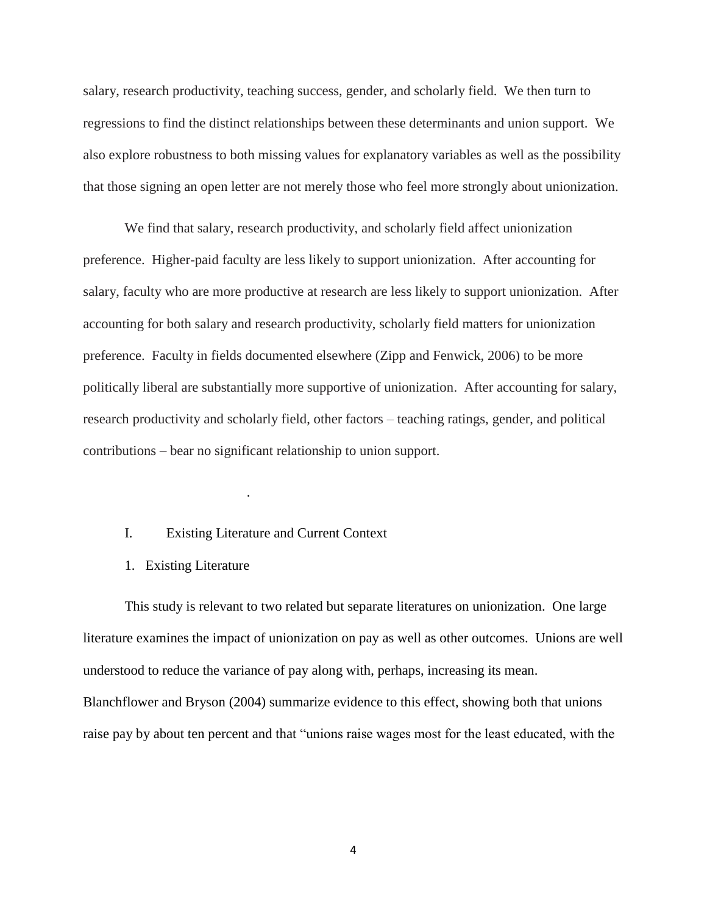salary, research productivity, teaching success, gender, and scholarly field. We then turn to regressions to find the distinct relationships between these determinants and union support. We also explore robustness to both missing values for explanatory variables as well as the possibility that those signing an open letter are not merely those who feel more strongly about unionization.

We find that salary, research productivity, and scholarly field affect unionization preference. Higher-paid faculty are less likely to support unionization. After accounting for salary, faculty who are more productive at research are less likely to support unionization. After accounting for both salary and research productivity, scholarly field matters for unionization preference. Faculty in fields documented elsewhere (Zipp and Fenwick, 2006) to be more politically liberal are substantially more supportive of unionization. After accounting for salary, research productivity and scholarly field, other factors – teaching ratings, gender, and political contributions – bear no significant relationship to union support.

### I. Existing Literature and Current Context

.

#### 1. Existing Literature

This study is relevant to two related but separate literatures on unionization. One large literature examines the impact of unionization on pay as well as other outcomes. Unions are well understood to reduce the variance of pay along with, perhaps, increasing its mean. Blanchflower and Bryson (2004) summarize evidence to this effect, showing both that unions raise pay by about ten percent and that "unions raise wages most for the least educated, with the

4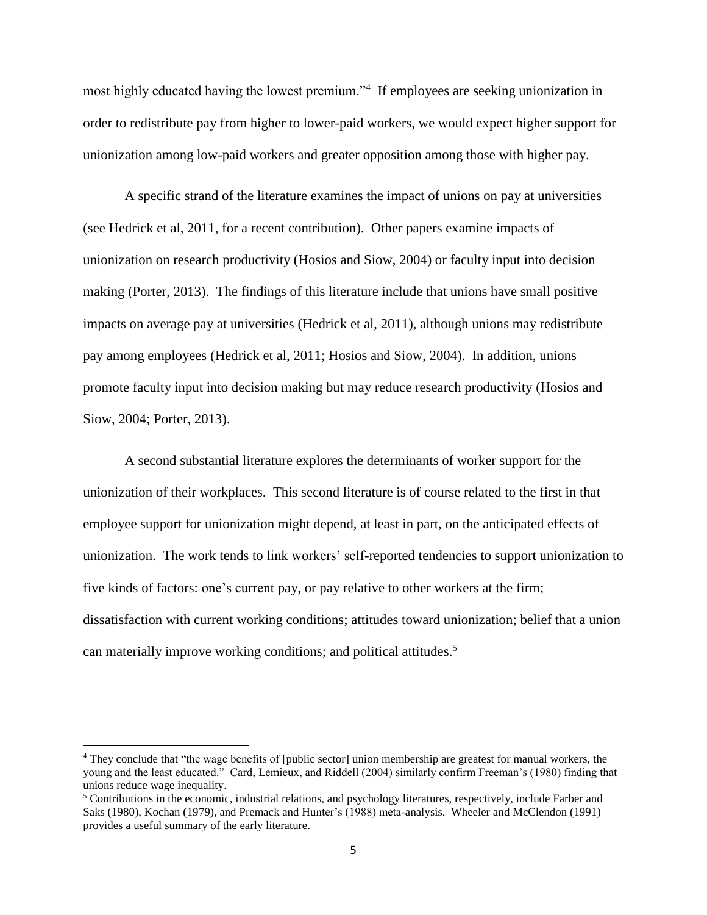most highly educated having the lowest premium."<sup>4</sup> If employees are seeking unionization in order to redistribute pay from higher to lower-paid workers, we would expect higher support for unionization among low-paid workers and greater opposition among those with higher pay.

A specific strand of the literature examines the impact of unions on pay at universities (see Hedrick et al, 2011, for a recent contribution). Other papers examine impacts of unionization on research productivity (Hosios and Siow, 2004) or faculty input into decision making (Porter, 2013). The findings of this literature include that unions have small positive impacts on average pay at universities (Hedrick et al, 2011), although unions may redistribute pay among employees (Hedrick et al, 2011; Hosios and Siow, 2004). In addition, unions promote faculty input into decision making but may reduce research productivity (Hosios and Siow, 2004; Porter, 2013).

A second substantial literature explores the determinants of worker support for the unionization of their workplaces. This second literature is of course related to the first in that employee support for unionization might depend, at least in part, on the anticipated effects of unionization. The work tends to link workers' self-reported tendencies to support unionization to five kinds of factors: one's current pay, or pay relative to other workers at the firm; dissatisfaction with current working conditions; attitudes toward unionization; belief that a union can materially improve working conditions; and political attitudes. 5

l

<sup>4</sup> They conclude that "the wage benefits of [public sector] union membership are greatest for manual workers, the young and the least educated." Card, Lemieux, and Riddell (2004) similarly confirm Freeman's (1980) finding that unions reduce wage inequality.

<sup>5</sup> Contributions in the economic, industrial relations, and psychology literatures, respectively, include Farber and Saks (1980), Kochan (1979), and Premack and Hunter's (1988) meta-analysis. Wheeler and McClendon (1991) provides a useful summary of the early literature.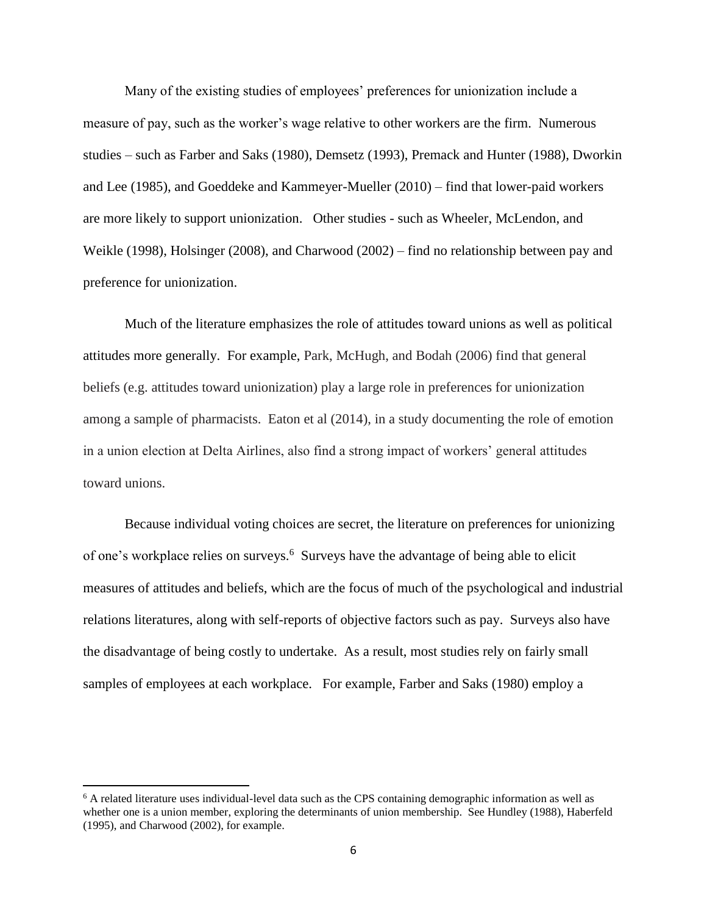Many of the existing studies of employees' preferences for unionization include a measure of pay, such as the worker's wage relative to other workers are the firm. Numerous studies – such as Farber and Saks (1980), Demsetz (1993), Premack and Hunter (1988), Dworkin and Lee (1985), and Goeddeke and Kammeyer-Mueller (2010) – find that lower-paid workers are more likely to support unionization. Other studies - such as Wheeler, McLendon, and Weikle (1998), Holsinger (2008), and Charwood (2002) – find no relationship between pay and preference for unionization.

Much of the literature emphasizes the role of attitudes toward unions as well as political attitudes more generally. For example, Park, McHugh, and Bodah (2006) find that general beliefs (e.g. attitudes toward unionization) play a large role in preferences for unionization among a sample of pharmacists. Eaton et al (2014), in a study documenting the role of emotion in a union election at Delta Airlines, also find a strong impact of workers' general attitudes toward unions.

Because individual voting choices are secret, the literature on preferences for unionizing of one's workplace relies on surveys.<sup>6</sup> Surveys have the advantage of being able to elicit measures of attitudes and beliefs, which are the focus of much of the psychological and industrial relations literatures, along with self-reports of objective factors such as pay. Surveys also have the disadvantage of being costly to undertake. As a result, most studies rely on fairly small samples of employees at each workplace. For example, Farber and Saks (1980) employ a

<sup>&</sup>lt;sup>6</sup> A related literature uses individual-level data such as the CPS containing demographic information as well as whether one is a union member, exploring the determinants of union membership. See Hundley (1988), Haberfeld (1995), and Charwood (2002), for example.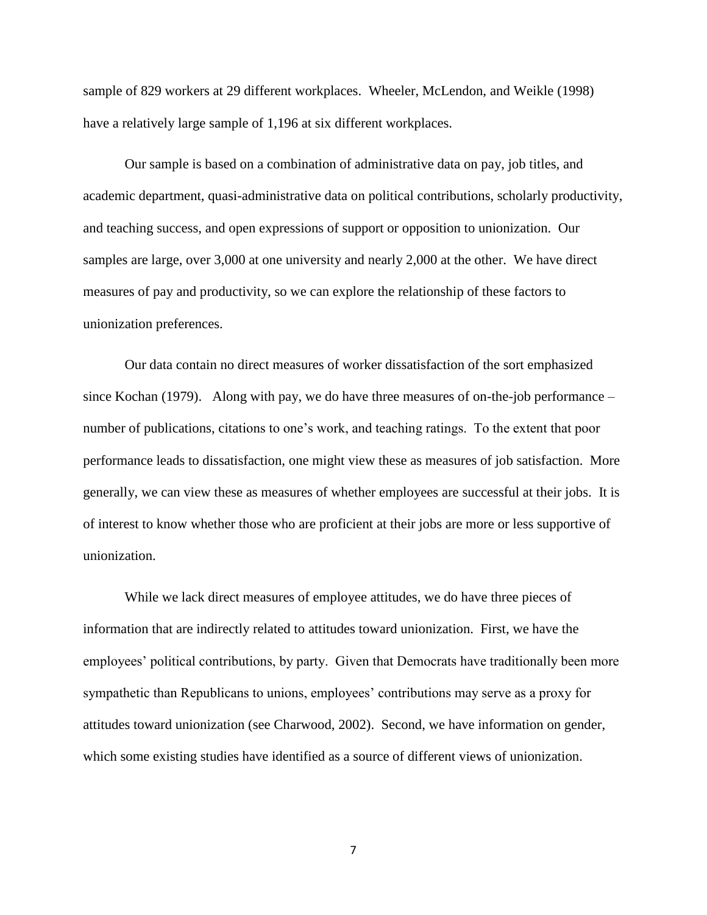sample of 829 workers at 29 different workplaces. Wheeler, McLendon, and Weikle (1998) have a relatively large sample of 1,196 at six different workplaces.

Our sample is based on a combination of administrative data on pay, job titles, and academic department, quasi-administrative data on political contributions, scholarly productivity, and teaching success, and open expressions of support or opposition to unionization. Our samples are large, over 3,000 at one university and nearly 2,000 at the other. We have direct measures of pay and productivity, so we can explore the relationship of these factors to unionization preferences.

Our data contain no direct measures of worker dissatisfaction of the sort emphasized since Kochan (1979). Along with pay, we do have three measures of on-the-job performance – number of publications, citations to one's work, and teaching ratings. To the extent that poor performance leads to dissatisfaction, one might view these as measures of job satisfaction. More generally, we can view these as measures of whether employees are successful at their jobs. It is of interest to know whether those who are proficient at their jobs are more or less supportive of unionization.

While we lack direct measures of employee attitudes, we do have three pieces of information that are indirectly related to attitudes toward unionization. First, we have the employees' political contributions, by party. Given that Democrats have traditionally been more sympathetic than Republicans to unions, employees' contributions may serve as a proxy for attitudes toward unionization (see Charwood, 2002). Second, we have information on gender, which some existing studies have identified as a source of different views of unionization.

7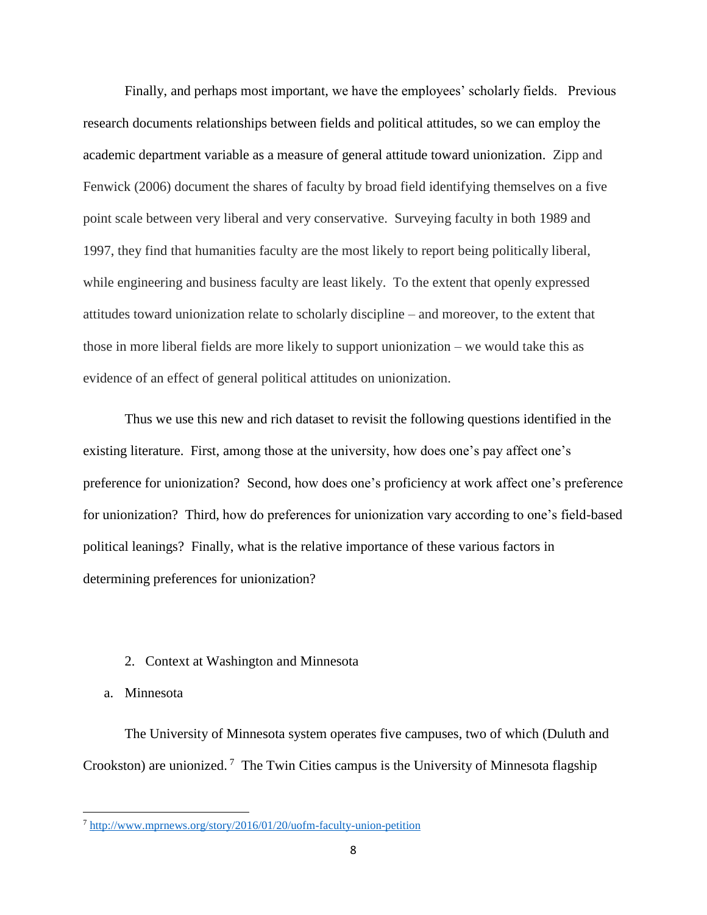Finally, and perhaps most important, we have the employees' scholarly fields. Previous research documents relationships between fields and political attitudes, so we can employ the academic department variable as a measure of general attitude toward unionization. Zipp and Fenwick (2006) document the shares of faculty by broad field identifying themselves on a five point scale between very liberal and very conservative. Surveying faculty in both 1989 and 1997, they find that humanities faculty are the most likely to report being politically liberal, while engineering and business faculty are least likely. To the extent that openly expressed attitudes toward unionization relate to scholarly discipline – and moreover, to the extent that those in more liberal fields are more likely to support unionization – we would take this as evidence of an effect of general political attitudes on unionization.

Thus we use this new and rich dataset to revisit the following questions identified in the existing literature. First, among those at the university, how does one's pay affect one's preference for unionization? Second, how does one's proficiency at work affect one's preference for unionization? Third, how do preferences for unionization vary according to one's field-based political leanings? Finally, what is the relative importance of these various factors in determining preferences for unionization?

### 2. Context at Washington and Minnesota

### a. Minnesota

 $\overline{\phantom{a}}$ 

The University of Minnesota system operates five campuses, two of which (Duluth and Crookston) are unionized.<sup>7</sup> The Twin Cities campus is the University of Minnesota flagship

<sup>7</sup> <http://www.mprnews.org/story/2016/01/20/uofm-faculty-union-petition>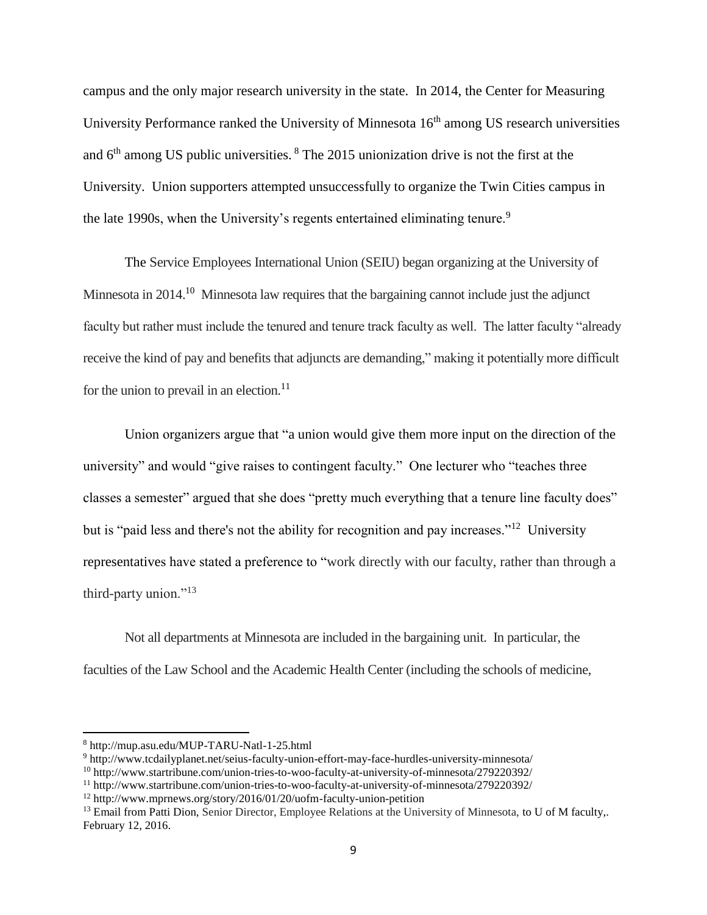campus and the only major research university in the state. In 2014, the Center for Measuring University Performance ranked the University of Minnesota  $16<sup>th</sup>$  among US research universities and  $6<sup>th</sup>$  among US public universities.  $8$  The 2015 unionization drive is not the first at the University. Union supporters attempted unsuccessfully to organize the Twin Cities campus in the late 1990s, when the University's regents entertained eliminating tenure.<sup>9</sup>

The Service Employees International Union (SEIU) began organizing at the University of Minnesota in 2014.<sup>10</sup> Minnesota law requires that the bargaining cannot include just the adjunct faculty but rather must include the tenured and tenure track faculty as well. The latter faculty "already receive the kind of pay and benefits that adjuncts are demanding," making it potentially more difficult for the union to prevail in an election.<sup>11</sup>

Union organizers argue that "a union would give them more input on the direction of the university" and would "give raises to contingent faculty." One lecturer who "teaches three classes a semester" argued that she does "pretty much everything that a tenure line faculty does" but is "paid less and there's not the ability for recognition and pay increases."<sup>12</sup> University representatives have stated a preference to "work directly with our faculty, rather than through a third-party union."<sup>13</sup>

Not all departments at Minnesota are included in the bargaining unit. In particular, the faculties of the Law School and the Academic Health Center (including the schools of medicine,

<sup>8</sup> http://mup.asu.edu/MUP-TARU-Natl-1-25.html

<sup>9</sup> http://www.tcdailyplanet.net/seius-faculty-union-effort-may-face-hurdles-university-minnesota/

<sup>10</sup> http://www.startribune.com/union-tries-to-woo-faculty-at-university-of-minnesota/279220392/

<sup>11</sup> http://www.startribune.com/union-tries-to-woo-faculty-at-university-of-minnesota/279220392/

<sup>12</sup> http://www.mprnews.org/story/2016/01/20/uofm-faculty-union-petition

<sup>&</sup>lt;sup>13</sup> Email from Patti Dion, Senior Director, Employee Relations at the University of Minnesota, to U of M faculty,. February 12, 2016.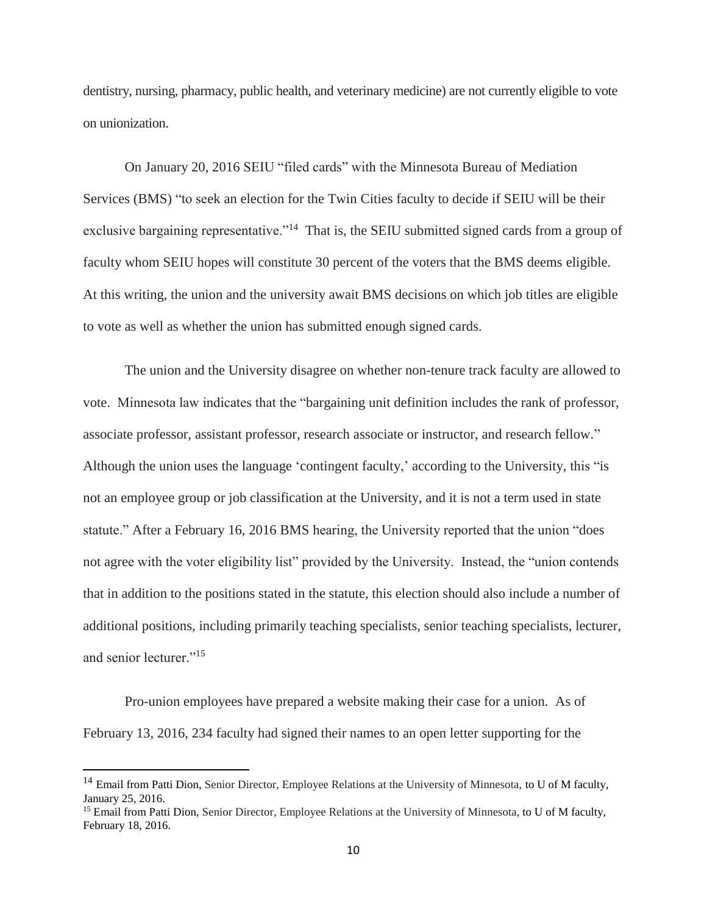dentistry, nursing, pharmacy, public health, and veterinary medicine) are not currently eligible to vote on unionization.

On January 20, 2016 SEIU "filed cards" with the Minnesota Bureau of Mediation Services (BMS) "to seek an election for the Twin Cities faculty to decide if SEIU will be their exclusive bargaining representative."<sup>14</sup> That is, the SEIU submitted signed cards from a group of faculty whom SEIU hopes will constitute 30 percent of the voters that the BMS deems eligible. At this writing, the union and the university await BMS decisions on which job titles are eligible to vote as well as whether the union has submitted enough signed cards.

The union and the University disagree on whether non-tenure track faculty are allowed to vote. Minnesota law indicates that the "bargaining unit definition includes the rank of professor, associate professor, assistant professor, research associate or instructor, and research fellow." Although the union uses the language 'contingent faculty,' according to the University, this "is not an employee group or job classification at the University, and it is not a term used in state statute." After a February 16, 2016 BMS hearing, the University reported that the union "does not agree with the voter eligibility list" provided by the University. Instead, the "union contends that in addition to the positions stated in the statute, this election should also include a number of additional positions, including primarily teaching specialists, senior teaching specialists, lecturer, and senior lecturer."<sup>15</sup>

Pro-union employees have prepared a website making their case for a union. As of February 13, 2016, 234 faculty had signed their names to an open letter supporting for the

<sup>&</sup>lt;sup>14</sup> Email from Patti Dion, Senior Director, Employee Relations at the University of Minnesota, to U of M faculty, January 25, 2016.

<sup>&</sup>lt;sup>15</sup> Email from Patti Dion, Senior Director, Employee Relations at the University of Minnesota, to U of M faculty, February 18, 2016.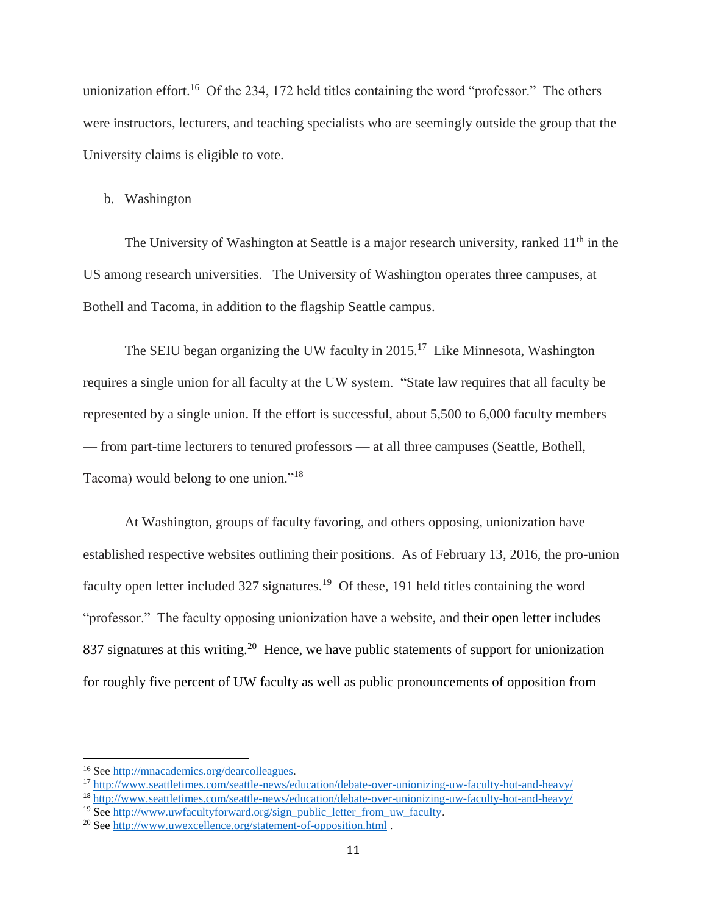unionization effort.<sup>16</sup> Of the 234, 172 held titles containing the word "professor." The others were instructors, lecturers, and teaching specialists who are seemingly outside the group that the University claims is eligible to vote.

### b. Washington

The University of Washington at Seattle is a major research university, ranked  $11<sup>th</sup>$  in the US among research universities. The University of Washington operates three campuses, at Bothell and Tacoma, in addition to the flagship Seattle campus.

The SEIU began organizing the UW faculty in  $2015$ .<sup>17</sup> Like Minnesota, Washington requires a single union for all faculty at the UW system. "State law requires that all faculty be represented by a single union. If the effort is successful, about 5,500 to 6,000 faculty members — from part-time lecturers to tenured professors — at all three campuses (Seattle, Bothell, Tacoma) would belong to one union."<sup>18</sup>

At Washington, groups of faculty favoring, and others opposing, unionization have established respective websites outlining their positions. As of February 13, 2016, the pro-union faculty open letter included 327 signatures.<sup>19</sup> Of these, 191 held titles containing the word "professor." The faculty opposing unionization have a website, and their open letter includes 837 signatures at this writing.<sup>20</sup> Hence, we have public statements of support for unionization for roughly five percent of UW faculty as well as public pronouncements of opposition from

 $\overline{a}$ 

<sup>16</sup> See [http://mnacademics.org/dearcolleagues.](http://mnacademics.org/dearcolleagues) 

<sup>17</sup> <http://www.seattletimes.com/seattle-news/education/debate-over-unionizing-uw-faculty-hot-and-heavy/>

<sup>18</sup> <http://www.seattletimes.com/seattle-news/education/debate-over-unionizing-uw-faculty-hot-and-heavy/>

<sup>&</sup>lt;sup>19</sup> See [http://www.uwfacultyforward.org/sign\\_public\\_letter\\_from\\_uw\\_faculty.](http://www.uwfacultyforward.org/sign_public_letter_from_uw_faculty)

<sup>20</sup> See<http://www.uwexcellence.org/statement-of-opposition.html> .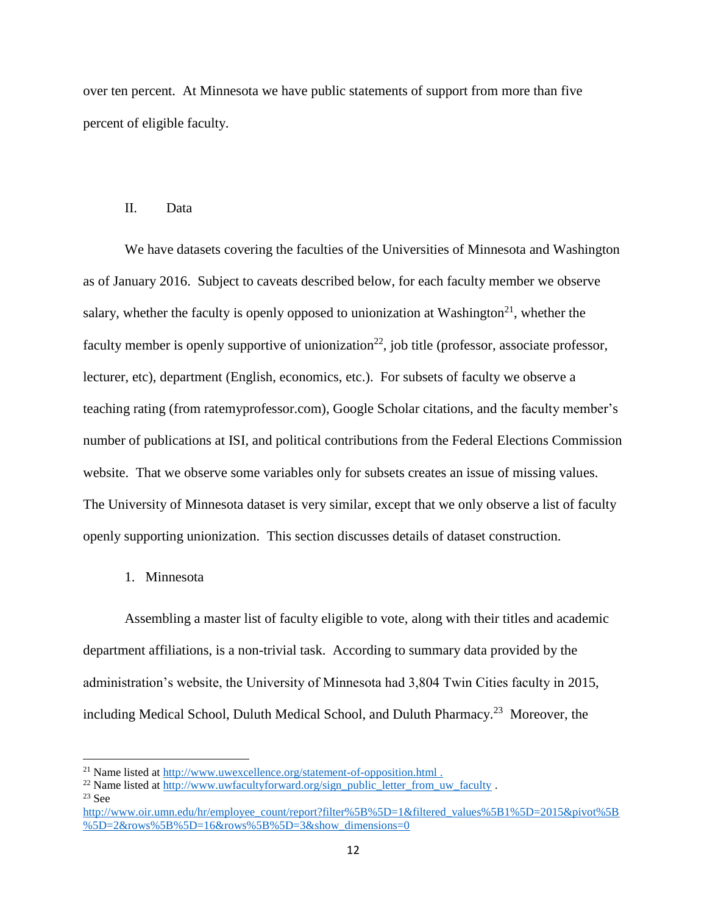over ten percent. At Minnesota we have public statements of support from more than five percent of eligible faculty.

#### II. Data

We have datasets covering the faculties of the Universities of Minnesota and Washington as of January 2016. Subject to caveats described below, for each faculty member we observe salary, whether the faculty is openly opposed to unionization at Washington<sup>21</sup>, whether the faculty member is openly supportive of unionization<sup>22</sup>, job title (professor, associate professor, lecturer, etc), department (English, economics, etc.). For subsets of faculty we observe a teaching rating (from ratemyprofessor.com), Google Scholar citations, and the faculty member's number of publications at ISI, and political contributions from the Federal Elections Commission website. That we observe some variables only for subsets creates an issue of missing values. The University of Minnesota dataset is very similar, except that we only observe a list of faculty openly supporting unionization. This section discusses details of dataset construction.

1. Minnesota

Assembling a master list of faculty eligible to vote, along with their titles and academic department affiliations, is a non-trivial task. According to summary data provided by the administration's website, the University of Minnesota had 3,804 Twin Cities faculty in 2015, including Medical School, Duluth Medical School, and Duluth Pharmacy.<sup>23</sup> Moreover, the

 $\overline{a}$ 

<sup>&</sup>lt;sup>21</sup> Name listed at<http://www.uwexcellence.org/statement-of-opposition.html>.

<sup>&</sup>lt;sup>22</sup> Name listed at [http://www.uwfacultyforward.org/sign\\_public\\_letter\\_from\\_uw\\_faculty](http://www.uwfacultyforward.org/sign_public_letter_from_uw_faculty) .

 $23$  See

[http://www.oir.umn.edu/hr/employee\\_count/report?filter%5B%5D=1&filtered\\_values%5B1%5D=2015&pivot%5B](http://www.oir.umn.edu/hr/employee_count/report?filter%5B%5D=1&filtered_values%5B1%5D=2015&pivot%5B%5D=2&rows%5B%5D=16&rows%5B%5D=3&show_dimensions=0) [%5D=2&rows%5B%5D=16&rows%5B%5D=3&show\\_dimensions=0](http://www.oir.umn.edu/hr/employee_count/report?filter%5B%5D=1&filtered_values%5B1%5D=2015&pivot%5B%5D=2&rows%5B%5D=16&rows%5B%5D=3&show_dimensions=0)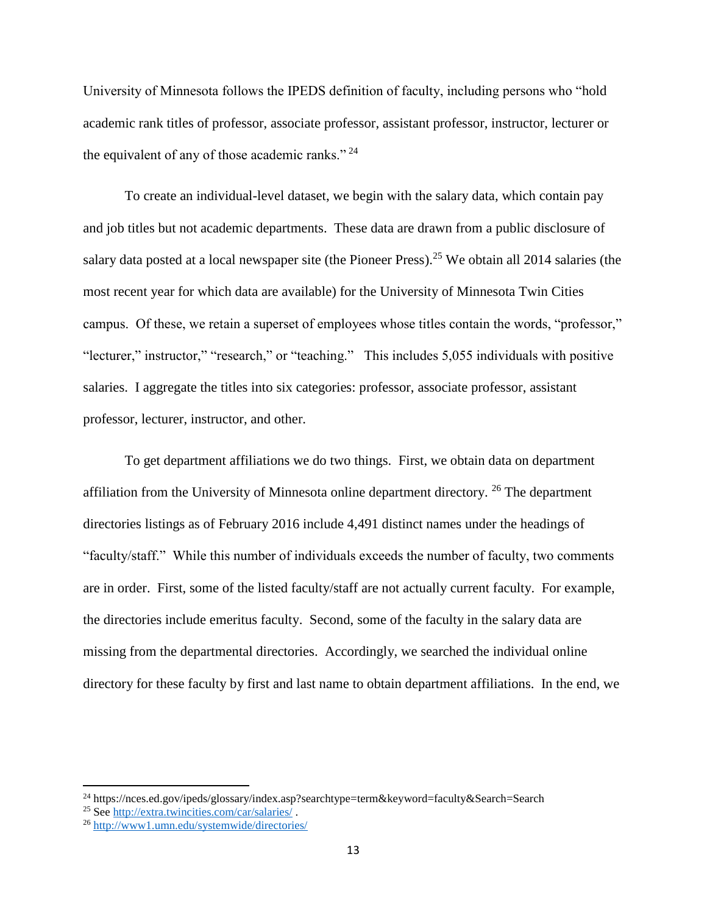University of Minnesota follows the IPEDS definition of faculty, including persons who "hold academic rank titles of professor, associate professor, assistant professor, instructor, lecturer or the equivalent of any of those academic ranks."<sup>24</sup>

To create an individual-level dataset, we begin with the salary data, which contain pay and job titles but not academic departments. These data are drawn from a public disclosure of salary data posted at a local newspaper site (the Pioneer Press).<sup>25</sup> We obtain all 2014 salaries (the most recent year for which data are available) for the University of Minnesota Twin Cities campus. Of these, we retain a superset of employees whose titles contain the words, "professor," "lecturer," instructor," "research," or "teaching." This includes 5,055 individuals with positive salaries. I aggregate the titles into six categories: professor, associate professor, assistant professor, lecturer, instructor, and other.

To get department affiliations we do two things. First, we obtain data on department affiliation from the University of Minnesota online department directory.  $^{26}$  The department directories listings as of February 2016 include 4,491 distinct names under the headings of "faculty/staff." While this number of individuals exceeds the number of faculty, two comments are in order. First, some of the listed faculty/staff are not actually current faculty. For example, the directories include emeritus faculty. Second, some of the faculty in the salary data are missing from the departmental directories. Accordingly, we searched the individual online directory for these faculty by first and last name to obtain department affiliations. In the end, we

<sup>24</sup> https://nces.ed.gov/ipeds/glossary/index.asp?searchtype=term&keyword=faculty&Search=Search

<sup>25</sup> See<http://extra.twincities.com/car/salaries/> .

<sup>26</sup> <http://www1.umn.edu/systemwide/directories/>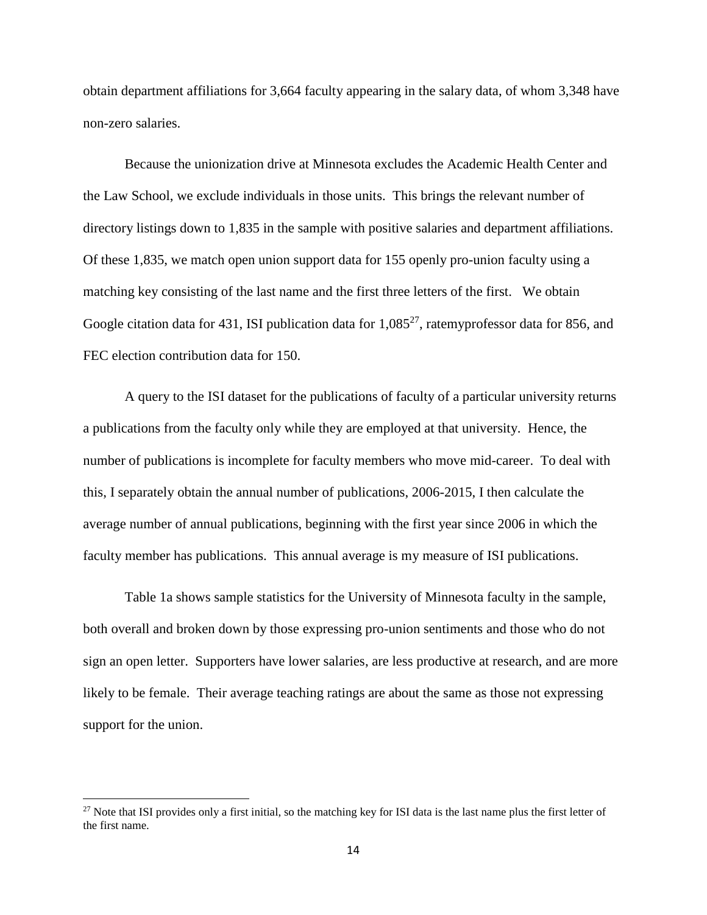obtain department affiliations for 3,664 faculty appearing in the salary data, of whom 3,348 have non-zero salaries.

Because the unionization drive at Minnesota excludes the Academic Health Center and the Law School, we exclude individuals in those units. This brings the relevant number of directory listings down to 1,835 in the sample with positive salaries and department affiliations. Of these 1,835, we match open union support data for 155 openly pro-union faculty using a matching key consisting of the last name and the first three letters of the first. We obtain Google citation data for 431, ISI publication data for  $1,085^{27}$ , ratemyprofessor data for 856, and FEC election contribution data for 150.

A query to the ISI dataset for the publications of faculty of a particular university returns a publications from the faculty only while they are employed at that university. Hence, the number of publications is incomplete for faculty members who move mid-career. To deal with this, I separately obtain the annual number of publications, 2006-2015, I then calculate the average number of annual publications, beginning with the first year since 2006 in which the faculty member has publications. This annual average is my measure of ISI publications.

Table 1a shows sample statistics for the University of Minnesota faculty in the sample, both overall and broken down by those expressing pro-union sentiments and those who do not sign an open letter. Supporters have lower salaries, are less productive at research, and are more likely to be female. Their average teaching ratings are about the same as those not expressing support for the union.

 $27$  Note that ISI provides only a first initial, so the matching key for ISI data is the last name plus the first letter of the first name.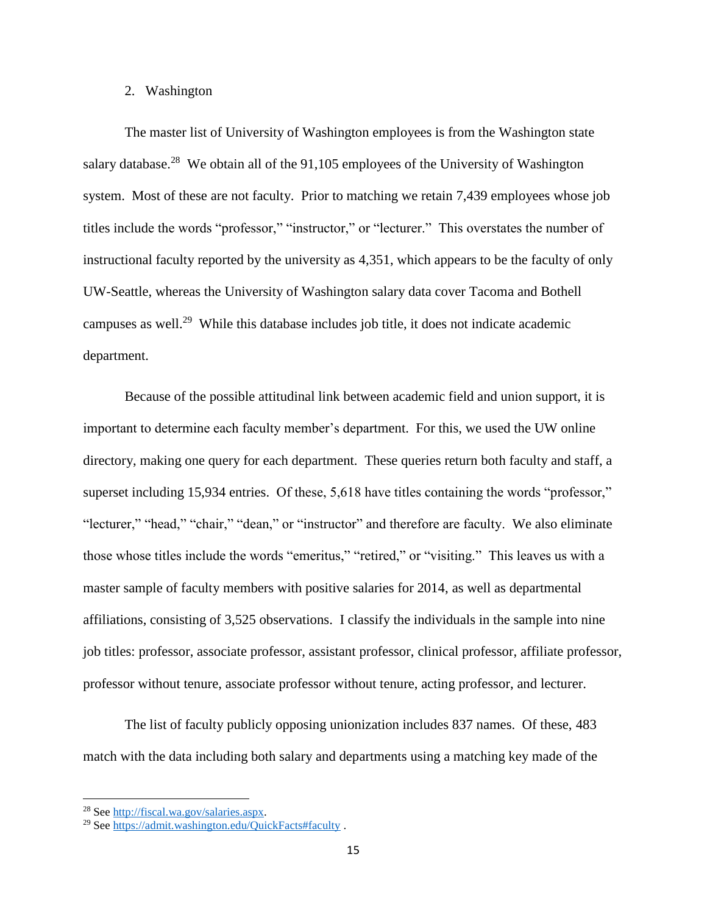#### 2. Washington

The master list of University of Washington employees is from the Washington state salary database.<sup>28</sup> We obtain all of the 91,105 employees of the University of Washington system. Most of these are not faculty. Prior to matching we retain 7,439 employees whose job titles include the words "professor," "instructor," or "lecturer." This overstates the number of instructional faculty reported by the university as 4,351, which appears to be the faculty of only UW-Seattle, whereas the University of Washington salary data cover Tacoma and Bothell campuses as well.<sup>29</sup> While this database includes job title, it does not indicate academic department.

Because of the possible attitudinal link between academic field and union support, it is important to determine each faculty member's department. For this, we used the UW online directory, making one query for each department. These queries return both faculty and staff, a superset including 15,934 entries. Of these, 5,618 have titles containing the words "professor," "lecturer," "head," "chair," "dean," or "instructor" and therefore are faculty. We also eliminate those whose titles include the words "emeritus," "retired," or "visiting." This leaves us with a master sample of faculty members with positive salaries for 2014, as well as departmental affiliations, consisting of 3,525 observations. I classify the individuals in the sample into nine job titles: professor, associate professor, assistant professor, clinical professor, affiliate professor, professor without tenure, associate professor without tenure, acting professor, and lecturer.

The list of faculty publicly opposing unionization includes 837 names. Of these, 483 match with the data including both salary and departments using a matching key made of the

<sup>28</sup> See [http://fiscal.wa.gov/salaries.aspx.](http://fiscal.wa.gov/salaries.aspx)

<sup>29</sup> See<https://admit.washington.edu/QuickFacts#faculty> .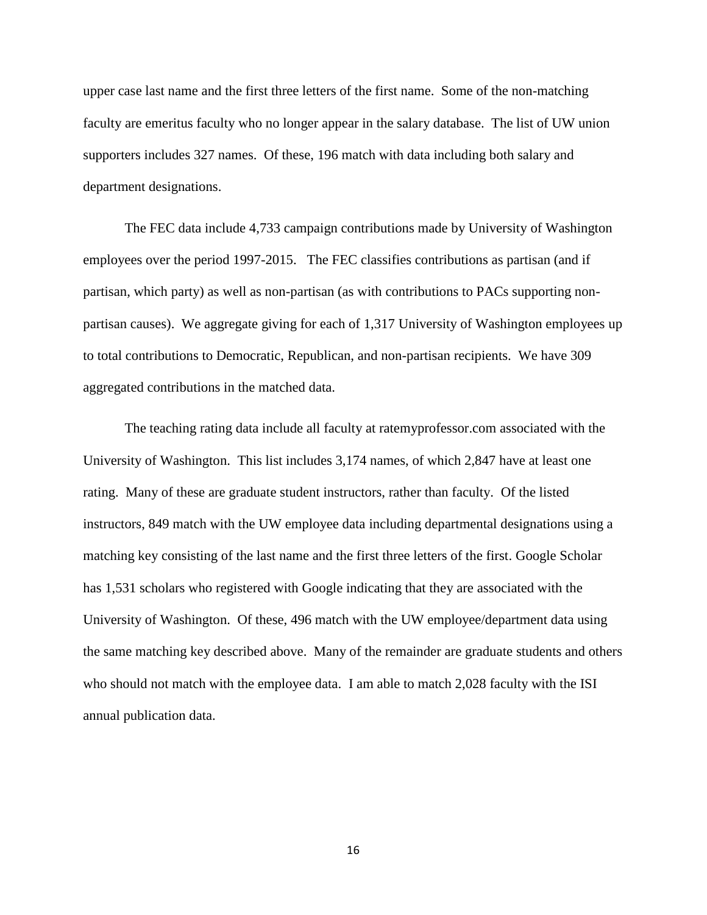upper case last name and the first three letters of the first name. Some of the non-matching faculty are emeritus faculty who no longer appear in the salary database. The list of UW union supporters includes 327 names. Of these, 196 match with data including both salary and department designations.

The FEC data include 4,733 campaign contributions made by University of Washington employees over the period 1997-2015. The FEC classifies contributions as partisan (and if partisan, which party) as well as non-partisan (as with contributions to PACs supporting nonpartisan causes). We aggregate giving for each of 1,317 University of Washington employees up to total contributions to Democratic, Republican, and non-partisan recipients. We have 309 aggregated contributions in the matched data.

The teaching rating data include all faculty at ratemyprofessor.com associated with the University of Washington. This list includes 3,174 names, of which 2,847 have at least one rating. Many of these are graduate student instructors, rather than faculty. Of the listed instructors, 849 match with the UW employee data including departmental designations using a matching key consisting of the last name and the first three letters of the first. Google Scholar has 1,531 scholars who registered with Google indicating that they are associated with the University of Washington. Of these, 496 match with the UW employee/department data using the same matching key described above. Many of the remainder are graduate students and others who should not match with the employee data. I am able to match 2,028 faculty with the ISI annual publication data.

16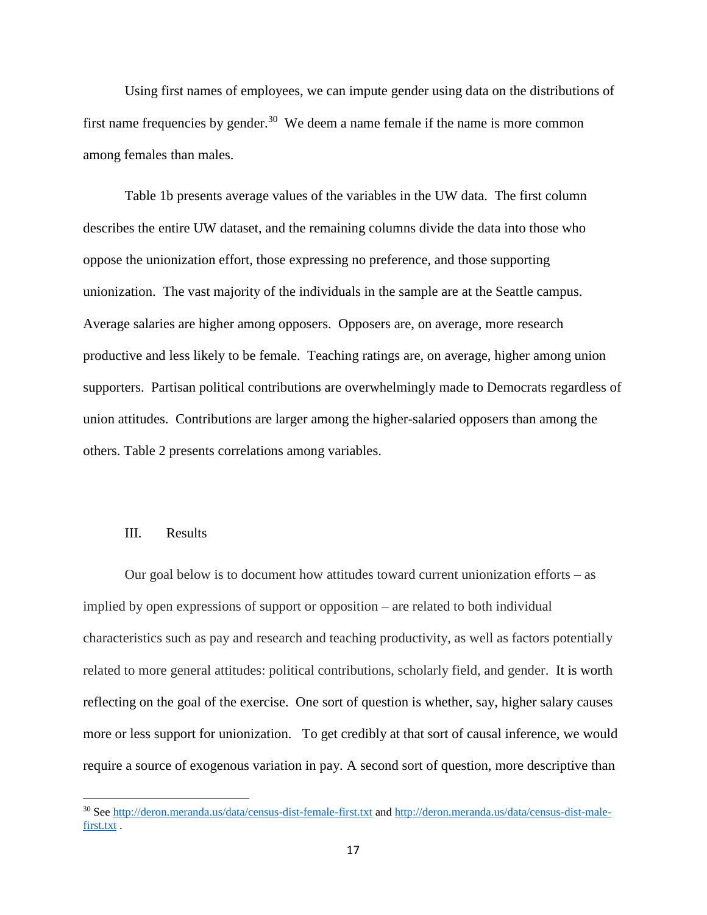Using first names of employees, we can impute gender using data on the distributions of first name frequencies by gender.<sup>30</sup> We deem a name female if the name is more common among females than males.

Table 1b presents average values of the variables in the UW data. The first column describes the entire UW dataset, and the remaining columns divide the data into those who oppose the unionization effort, those expressing no preference, and those supporting unionization. The vast majority of the individuals in the sample are at the Seattle campus. Average salaries are higher among opposers. Opposers are, on average, more research productive and less likely to be female. Teaching ratings are, on average, higher among union supporters. Partisan political contributions are overwhelmingly made to Democrats regardless of union attitudes. Contributions are larger among the higher-salaried opposers than among the others. Table 2 presents correlations among variables.

### III. Results

 $\overline{\phantom{a}}$ 

Our goal below is to document how attitudes toward current unionization efforts – as implied by open expressions of support or opposition – are related to both individual characteristics such as pay and research and teaching productivity, as well as factors potentially related to more general attitudes: political contributions, scholarly field, and gender. It is worth reflecting on the goal of the exercise. One sort of question is whether, say, higher salary causes more or less support for unionization. To get credibly at that sort of causal inference, we would require a source of exogenous variation in pay. A second sort of question, more descriptive than

<sup>&</sup>lt;sup>30</sup> See<http://deron.meranda.us/data/census-dist-female-first.txt> and [http://deron.meranda.us/data/census-dist-male](http://deron.meranda.us/data/census-dist-male-first.txt)[first.txt](http://deron.meranda.us/data/census-dist-male-first.txt).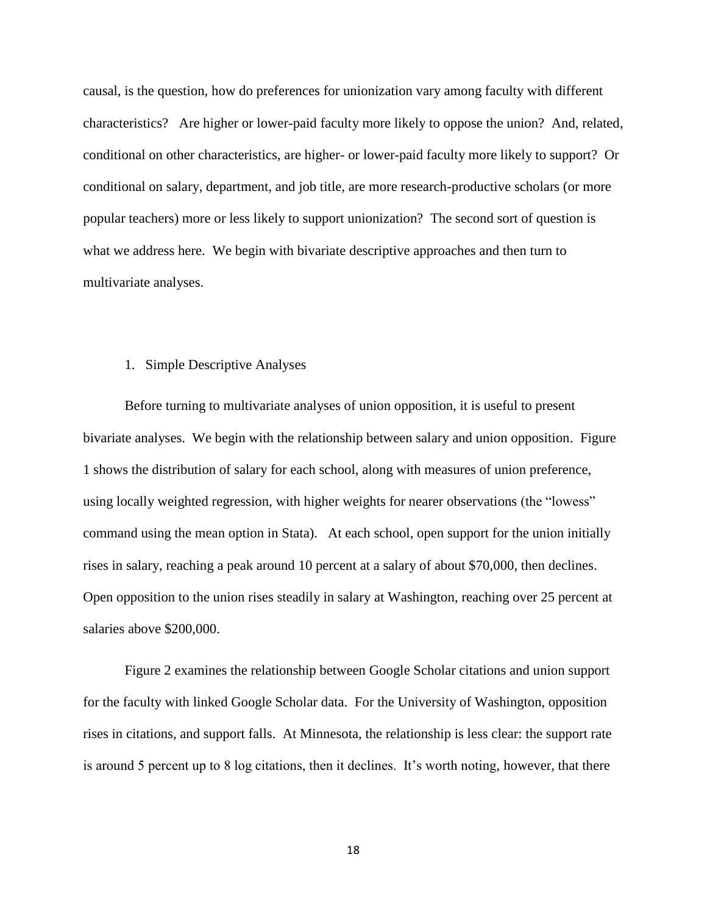causal, is the question, how do preferences for unionization vary among faculty with different characteristics? Are higher or lower-paid faculty more likely to oppose the union? And, related, conditional on other characteristics, are higher- or lower-paid faculty more likely to support? Or conditional on salary, department, and job title, are more research-productive scholars (or more popular teachers) more or less likely to support unionization? The second sort of question is what we address here. We begin with bivariate descriptive approaches and then turn to multivariate analyses.

### 1. Simple Descriptive Analyses

Before turning to multivariate analyses of union opposition, it is useful to present bivariate analyses. We begin with the relationship between salary and union opposition. Figure 1 shows the distribution of salary for each school, along with measures of union preference, using locally weighted regression, with higher weights for nearer observations (the "lowess" command using the mean option in Stata). At each school, open support for the union initially rises in salary, reaching a peak around 10 percent at a salary of about \$70,000, then declines. Open opposition to the union rises steadily in salary at Washington, reaching over 25 percent at salaries above \$200,000.

Figure 2 examines the relationship between Google Scholar citations and union support for the faculty with linked Google Scholar data. For the University of Washington, opposition rises in citations, and support falls. At Minnesota, the relationship is less clear: the support rate is around 5 percent up to 8 log citations, then it declines. It's worth noting, however, that there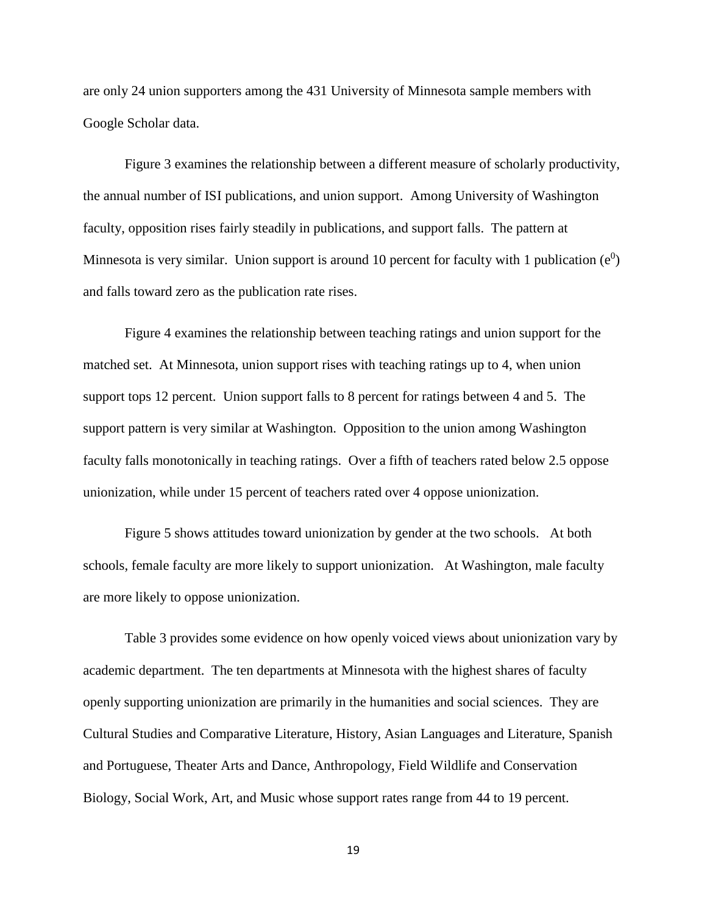are only 24 union supporters among the 431 University of Minnesota sample members with Google Scholar data.

Figure 3 examines the relationship between a different measure of scholarly productivity, the annual number of ISI publications, and union support. Among University of Washington faculty, opposition rises fairly steadily in publications, and support falls. The pattern at Minnesota is very similar. Union support is around 10 percent for faculty with 1 publication  $(e^0)$ and falls toward zero as the publication rate rises.

Figure 4 examines the relationship between teaching ratings and union support for the matched set. At Minnesota, union support rises with teaching ratings up to 4, when union support tops 12 percent. Union support falls to 8 percent for ratings between 4 and 5. The support pattern is very similar at Washington. Opposition to the union among Washington faculty falls monotonically in teaching ratings. Over a fifth of teachers rated below 2.5 oppose unionization, while under 15 percent of teachers rated over 4 oppose unionization.

Figure 5 shows attitudes toward unionization by gender at the two schools. At both schools, female faculty are more likely to support unionization. At Washington, male faculty are more likely to oppose unionization.

Table 3 provides some evidence on how openly voiced views about unionization vary by academic department. The ten departments at Minnesota with the highest shares of faculty openly supporting unionization are primarily in the humanities and social sciences. They are Cultural Studies and Comparative Literature, History, Asian Languages and Literature, Spanish and Portuguese, Theater Arts and Dance, Anthropology, Field Wildlife and Conservation Biology, Social Work, Art, and Music whose support rates range from 44 to 19 percent.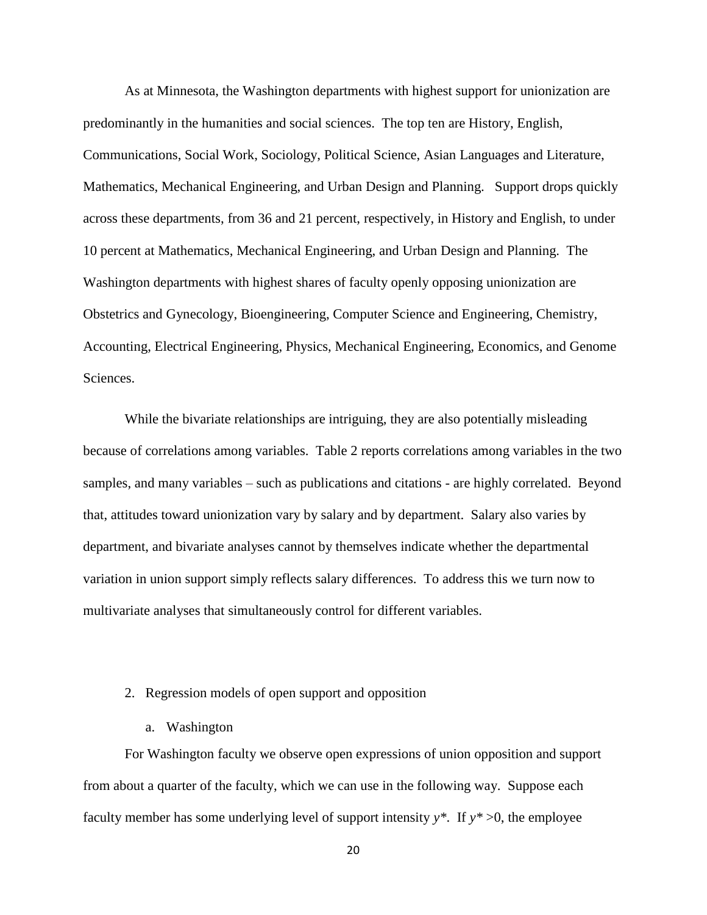As at Minnesota, the Washington departments with highest support for unionization are predominantly in the humanities and social sciences. The top ten are History, English, Communications, Social Work, Sociology, Political Science, Asian Languages and Literature, Mathematics, Mechanical Engineering, and Urban Design and Planning. Support drops quickly across these departments, from 36 and 21 percent, respectively, in History and English, to under 10 percent at Mathematics, Mechanical Engineering, and Urban Design and Planning. The Washington departments with highest shares of faculty openly opposing unionization are Obstetrics and Gynecology, Bioengineering, Computer Science and Engineering, Chemistry, Accounting, Electrical Engineering, Physics, Mechanical Engineering, Economics, and Genome Sciences.

While the bivariate relationships are intriguing, they are also potentially misleading because of correlations among variables. Table 2 reports correlations among variables in the two samples, and many variables – such as publications and citations - are highly correlated. Beyond that, attitudes toward unionization vary by salary and by department. Salary also varies by department, and bivariate analyses cannot by themselves indicate whether the departmental variation in union support simply reflects salary differences. To address this we turn now to multivariate analyses that simultaneously control for different variables.

### 2. Regression models of open support and opposition

a. Washington

For Washington faculty we observe open expressions of union opposition and support from about a quarter of the faculty, which we can use in the following way. Suppose each faculty member has some underlying level of support intensity  $y^*$ . If  $y^* > 0$ , the employee

20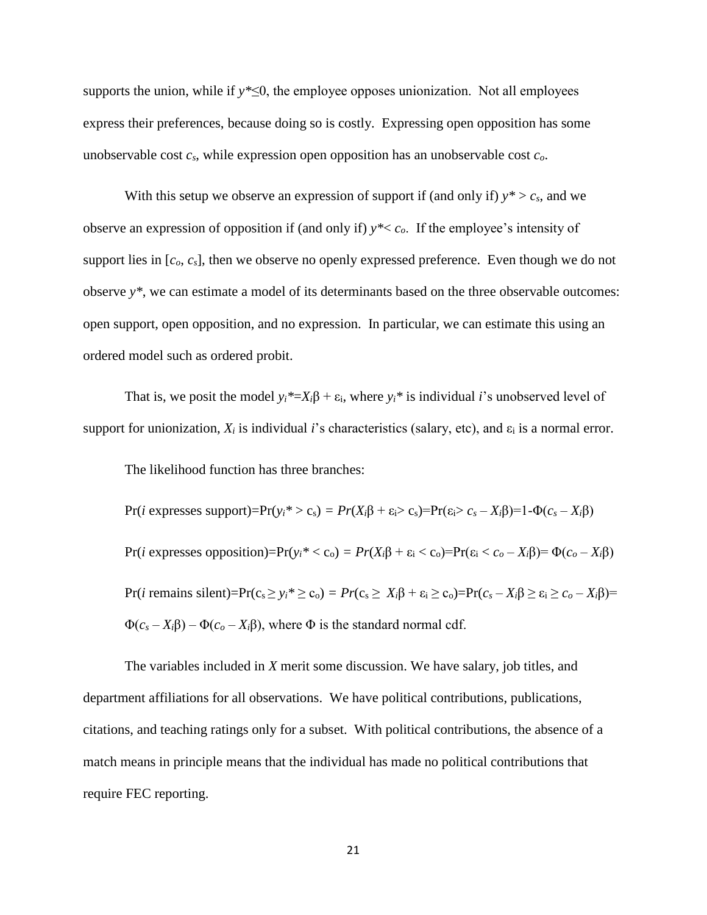supports the union, while if *y\**≤0, the employee opposes unionization. Not all employees express their preferences, because doing so is costly. Expressing open opposition has some unobservable cost *cs*, while expression open opposition has an unobservable cost *co*.

With this setup we observe an expression of support if (and only if)  $y^* > c_s$ , and we observe an expression of opposition if (and only if) *y\**< *co*. If the employee's intensity of support lies in  $[c_0, c_s]$ , then we observe no openly expressed preference. Even though we do not observe *y\**, we can estimate a model of its determinants based on the three observable outcomes: open support, open opposition, and no expression. In particular, we can estimate this using an ordered model such as ordered probit.

That is, we posit the model  $y_i^* = X_i \beta + \varepsilon_i$ , where  $y_i^*$  is individual *i*'s unobserved level of support for unionization,  $X_i$  is individual *i*'s characteristics (salary, etc), and  $\varepsilon_i$  is a normal error.

The likelihood function has three branches:

Pr(*i* expresses support)=Pr(*yi\** > cs) *= Pr*(*Xi*β + εi> cs)=Pr(εi> *c<sup>s</sup>* – *Xi*β)=1-Φ(*c<sup>s</sup>* – *Xi*β) Pr(*i* expresses opposition)=Pr(*yi\** < co) *= Pr*(*Xi*β + ε<sup>i</sup> < co)=Pr(ε<sup>i</sup> < *c<sup>o</sup>* – *Xi*β)= Φ(*c<sup>o</sup>* – *Xi*β) Pr(*i* remains silent)=Pr(c<sup>s</sup> ≥ *yi\** ≥ co) *= Pr*(c<sup>s</sup> ≥ *Xi*β + ε<sup>i</sup> ≥ co)=Pr(*c<sup>s</sup>* – *Xi*β ≥ ε<sup>i</sup> ≥ *c<sup>o</sup>* – *Xi*β)= Φ(*c<sup>s</sup>* – *Xi*β) – Φ(*c<sup>o</sup>* – *Xi*β), where Φ is the standard normal cdf.

The variables included in *X* merit some discussion. We have salary, job titles, and department affiliations for all observations. We have political contributions, publications, citations, and teaching ratings only for a subset. With political contributions, the absence of a match means in principle means that the individual has made no political contributions that require FEC reporting.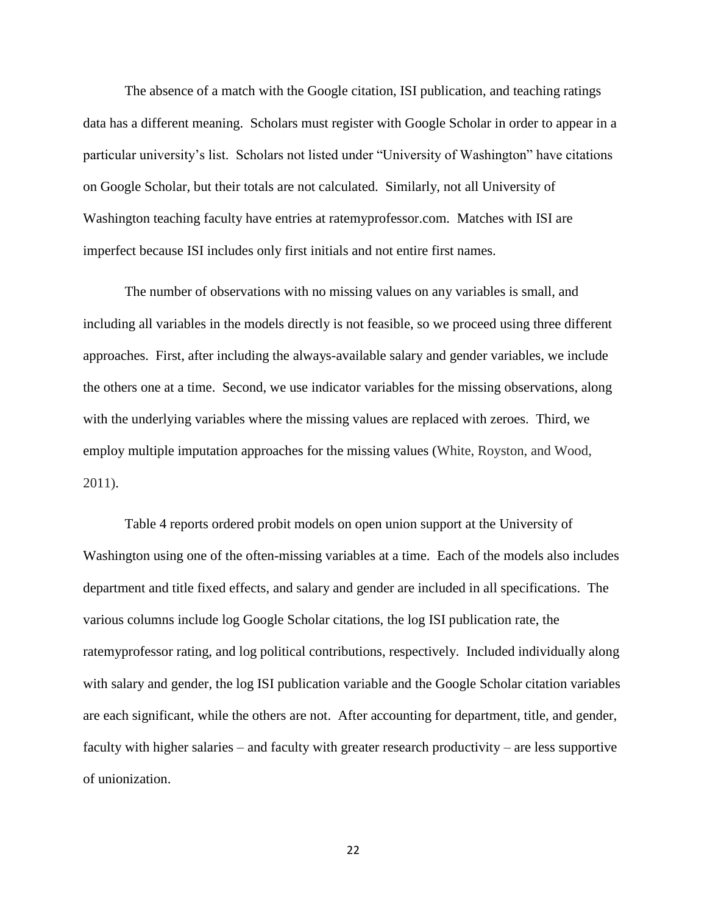The absence of a match with the Google citation, ISI publication, and teaching ratings data has a different meaning. Scholars must register with Google Scholar in order to appear in a particular university's list. Scholars not listed under "University of Washington" have citations on Google Scholar, but their totals are not calculated. Similarly, not all University of Washington teaching faculty have entries at ratemyprofessor.com. Matches with ISI are imperfect because ISI includes only first initials and not entire first names.

The number of observations with no missing values on any variables is small, and including all variables in the models directly is not feasible, so we proceed using three different approaches. First, after including the always-available salary and gender variables, we include the others one at a time. Second, we use indicator variables for the missing observations, along with the underlying variables where the missing values are replaced with zeroes. Third, we employ multiple imputation approaches for the missing values (White, Royston, and Wood, 2011).

Table 4 reports ordered probit models on open union support at the University of Washington using one of the often-missing variables at a time. Each of the models also includes department and title fixed effects, and salary and gender are included in all specifications. The various columns include log Google Scholar citations, the log ISI publication rate, the ratemyprofessor rating, and log political contributions, respectively. Included individually along with salary and gender, the log ISI publication variable and the Google Scholar citation variables are each significant, while the others are not. After accounting for department, title, and gender, faculty with higher salaries – and faculty with greater research productivity – are less supportive of unionization.

22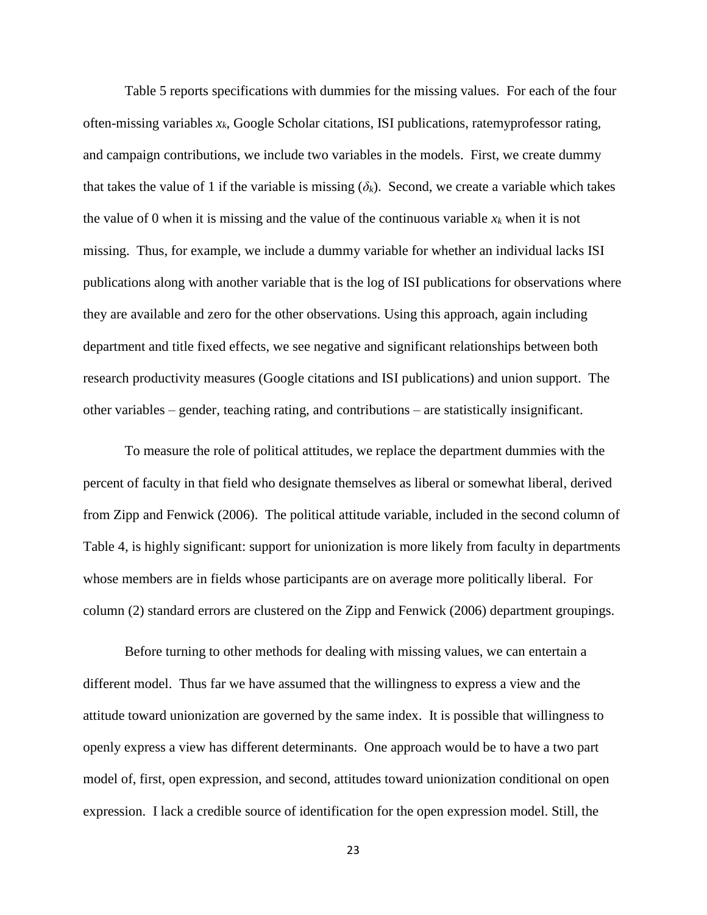Table 5 reports specifications with dummies for the missing values. For each of the four often-missing variables *xk*, Google Scholar citations, ISI publications, ratemyprofessor rating, and campaign contributions, we include two variables in the models. First, we create dummy that takes the value of 1 if the variable is missing  $(\delta_k)$ . Second, we create a variable which takes the value of 0 when it is missing and the value of the continuous variable  $x_k$  when it is not missing. Thus, for example, we include a dummy variable for whether an individual lacks ISI publications along with another variable that is the log of ISI publications for observations where they are available and zero for the other observations. Using this approach, again including department and title fixed effects, we see negative and significant relationships between both research productivity measures (Google citations and ISI publications) and union support. The other variables – gender, teaching rating, and contributions – are statistically insignificant.

To measure the role of political attitudes, we replace the department dummies with the percent of faculty in that field who designate themselves as liberal or somewhat liberal, derived from Zipp and Fenwick (2006). The political attitude variable, included in the second column of Table 4, is highly significant: support for unionization is more likely from faculty in departments whose members are in fields whose participants are on average more politically liberal. For column (2) standard errors are clustered on the Zipp and Fenwick (2006) department groupings.

Before turning to other methods for dealing with missing values, we can entertain a different model. Thus far we have assumed that the willingness to express a view and the attitude toward unionization are governed by the same index. It is possible that willingness to openly express a view has different determinants. One approach would be to have a two part model of, first, open expression, and second, attitudes toward unionization conditional on open expression. I lack a credible source of identification for the open expression model. Still, the

23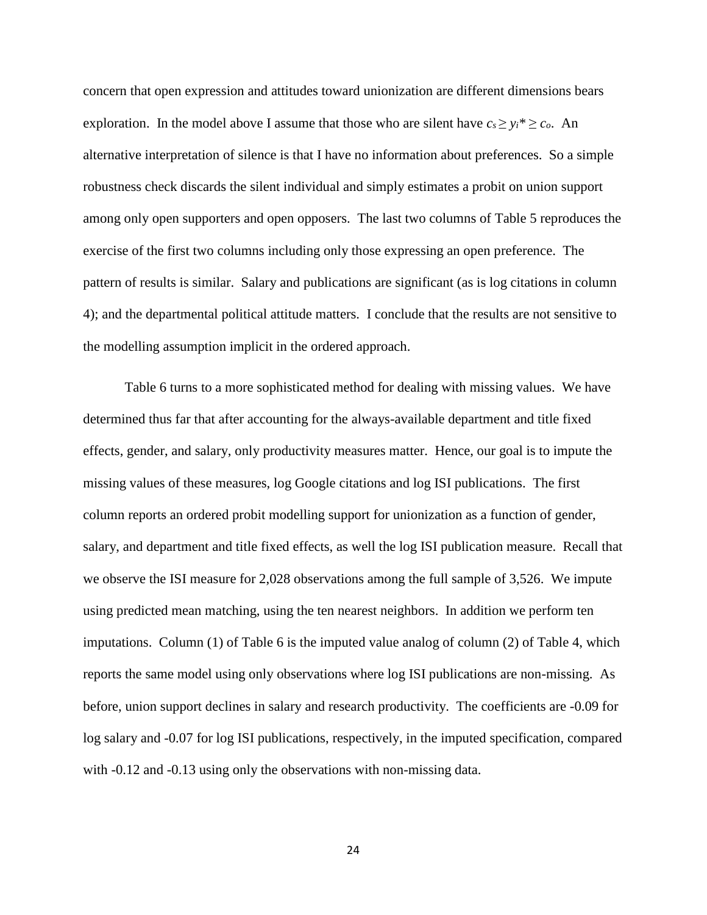concern that open expression and attitudes toward unionization are different dimensions bears exploration. In the model above I assume that those who are silent have  $c_s \geq y_i^* \geq c_o$ . An alternative interpretation of silence is that I have no information about preferences. So a simple robustness check discards the silent individual and simply estimates a probit on union support among only open supporters and open opposers. The last two columns of Table 5 reproduces the exercise of the first two columns including only those expressing an open preference. The pattern of results is similar. Salary and publications are significant (as is log citations in column 4); and the departmental political attitude matters. I conclude that the results are not sensitive to the modelling assumption implicit in the ordered approach.

Table 6 turns to a more sophisticated method for dealing with missing values. We have determined thus far that after accounting for the always-available department and title fixed effects, gender, and salary, only productivity measures matter. Hence, our goal is to impute the missing values of these measures, log Google citations and log ISI publications. The first column reports an ordered probit modelling support for unionization as a function of gender, salary, and department and title fixed effects, as well the log ISI publication measure. Recall that we observe the ISI measure for 2,028 observations among the full sample of 3,526. We impute using predicted mean matching, using the ten nearest neighbors. In addition we perform ten imputations. Column (1) of Table 6 is the imputed value analog of column (2) of Table 4, which reports the same model using only observations where log ISI publications are non-missing. As before, union support declines in salary and research productivity. The coefficients are -0.09 for log salary and -0.07 for log ISI publications, respectively, in the imputed specification, compared with  $-0.12$  and  $-0.13$  using only the observations with non-missing data.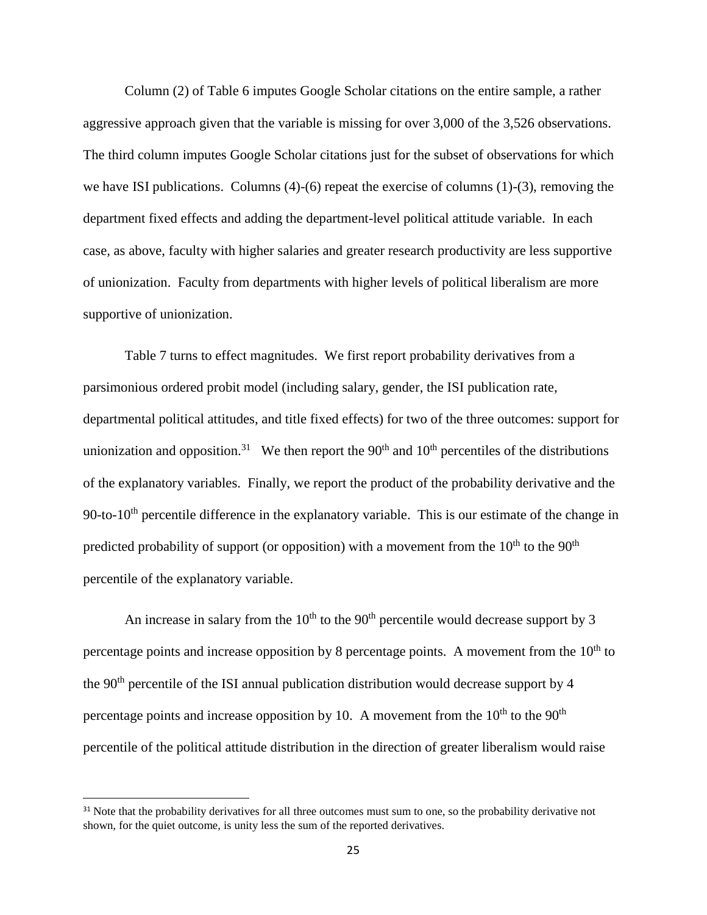Column (2) of Table 6 imputes Google Scholar citations on the entire sample, a rather aggressive approach given that the variable is missing for over 3,000 of the 3,526 observations. The third column imputes Google Scholar citations just for the subset of observations for which we have ISI publications. Columns (4)-(6) repeat the exercise of columns (1)-(3), removing the department fixed effects and adding the department-level political attitude variable. In each case, as above, faculty with higher salaries and greater research productivity are less supportive of unionization. Faculty from departments with higher levels of political liberalism are more supportive of unionization.

Table 7 turns to effect magnitudes. We first report probability derivatives from a parsimonious ordered probit model (including salary, gender, the ISI publication rate, departmental political attitudes, and title fixed effects) for two of the three outcomes: support for unionization and opposition.<sup>31</sup> We then report the 90<sup>th</sup> and 10<sup>th</sup> percentiles of the distributions of the explanatory variables. Finally, we report the product of the probability derivative and the 90-to-10<sup>th</sup> percentile difference in the explanatory variable. This is our estimate of the change in predicted probability of support (or opposition) with a movement from the  $10^{th}$  to the  $90^{th}$ percentile of the explanatory variable.

An increase in salary from the  $10<sup>th</sup>$  to the  $90<sup>th</sup>$  percentile would decrease support by 3 percentage points and increase opposition by 8 percentage points. A movement from the  $10<sup>th</sup>$  to the  $90<sup>th</sup>$  percentile of the ISI annual publication distribution would decrease support by 4 percentage points and increase opposition by 10. A movement from the  $10<sup>th</sup>$  to the  $90<sup>th</sup>$ percentile of the political attitude distribution in the direction of greater liberalism would raise

l

<sup>&</sup>lt;sup>31</sup> Note that the probability derivatives for all three outcomes must sum to one, so the probability derivative not shown, for the quiet outcome, is unity less the sum of the reported derivatives.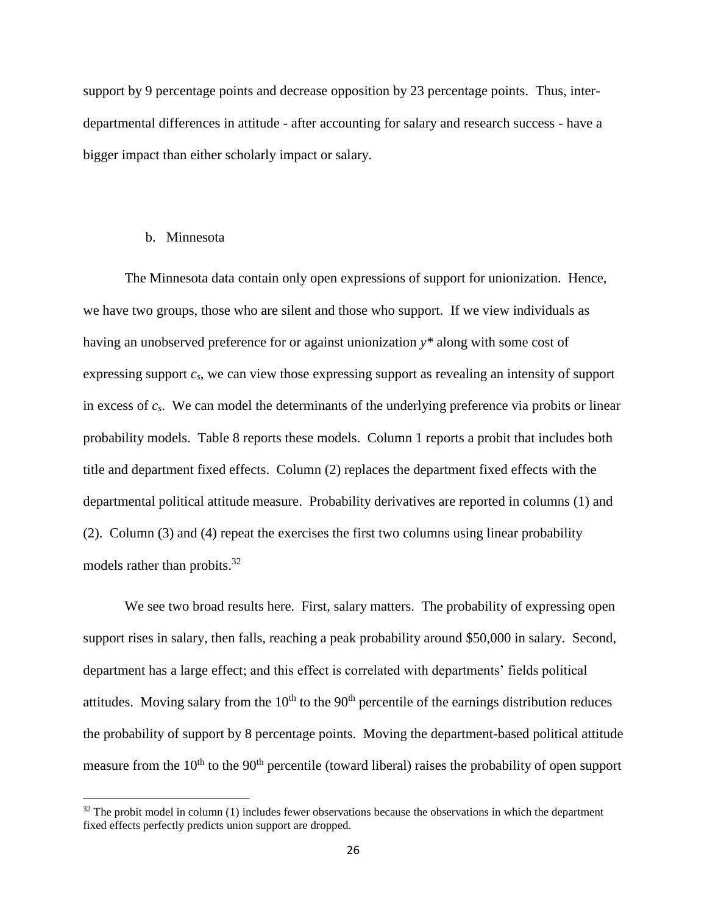support by 9 percentage points and decrease opposition by 23 percentage points. Thus, interdepartmental differences in attitude - after accounting for salary and research success - have a bigger impact than either scholarly impact or salary.

#### b. Minnesota

 $\overline{\phantom{a}}$ 

The Minnesota data contain only open expressions of support for unionization. Hence, we have two groups, those who are silent and those who support. If we view individuals as having an unobserved preference for or against unionization *y\** along with some cost of expressing support *cs*, we can view those expressing support as revealing an intensity of support in excess of *cs*. We can model the determinants of the underlying preference via probits or linear probability models. Table 8 reports these models. Column 1 reports a probit that includes both title and department fixed effects. Column (2) replaces the department fixed effects with the departmental political attitude measure. Probability derivatives are reported in columns (1) and (2). Column (3) and (4) repeat the exercises the first two columns using linear probability models rather than probits.<sup>32</sup>

We see two broad results here. First, salary matters. The probability of expressing open support rises in salary, then falls, reaching a peak probability around \$50,000 in salary. Second, department has a large effect; and this effect is correlated with departments' fields political attitudes. Moving salary from the  $10<sup>th</sup>$  to the 90<sup>th</sup> percentile of the earnings distribution reduces the probability of support by 8 percentage points. Moving the department-based political attitude measure from the  $10<sup>th</sup>$  to the  $90<sup>th</sup>$  percentile (toward liberal) raises the probability of open support

 $32$  The probit model in column (1) includes fewer observations because the observations in which the department fixed effects perfectly predicts union support are dropped.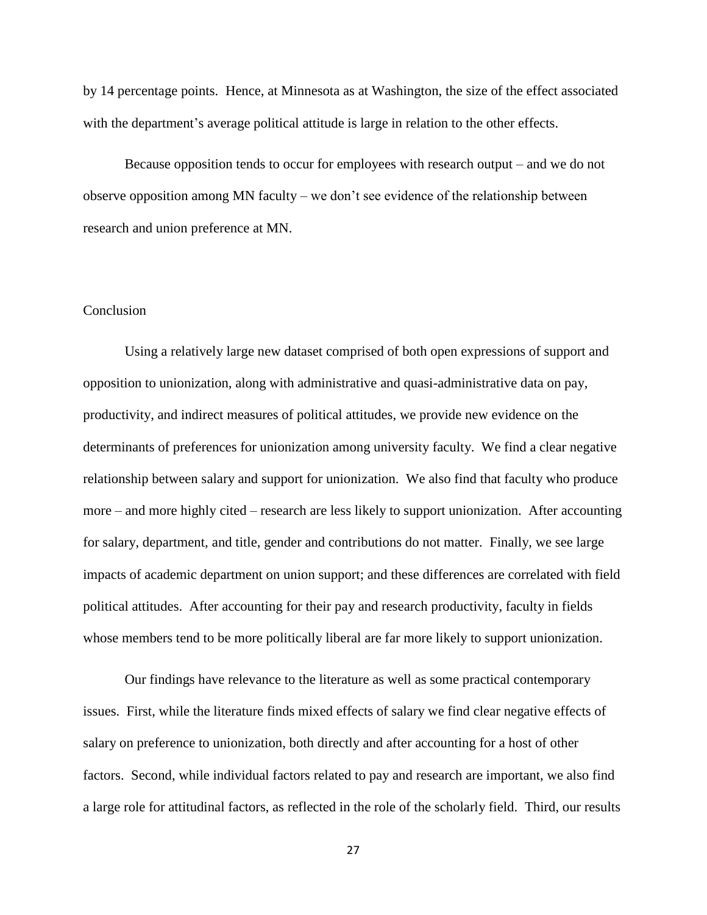by 14 percentage points. Hence, at Minnesota as at Washington, the size of the effect associated with the department's average political attitude is large in relation to the other effects.

Because opposition tends to occur for employees with research output – and we do not observe opposition among MN faculty – we don't see evidence of the relationship between research and union preference at MN.

### **Conclusion**

Using a relatively large new dataset comprised of both open expressions of support and opposition to unionization, along with administrative and quasi-administrative data on pay, productivity, and indirect measures of political attitudes, we provide new evidence on the determinants of preferences for unionization among university faculty. We find a clear negative relationship between salary and support for unionization. We also find that faculty who produce more – and more highly cited – research are less likely to support unionization. After accounting for salary, department, and title, gender and contributions do not matter. Finally, we see large impacts of academic department on union support; and these differences are correlated with field political attitudes. After accounting for their pay and research productivity, faculty in fields whose members tend to be more politically liberal are far more likely to support unionization.

Our findings have relevance to the literature as well as some practical contemporary issues. First, while the literature finds mixed effects of salary we find clear negative effects of salary on preference to unionization, both directly and after accounting for a host of other factors. Second, while individual factors related to pay and research are important, we also find a large role for attitudinal factors, as reflected in the role of the scholarly field. Third, our results

27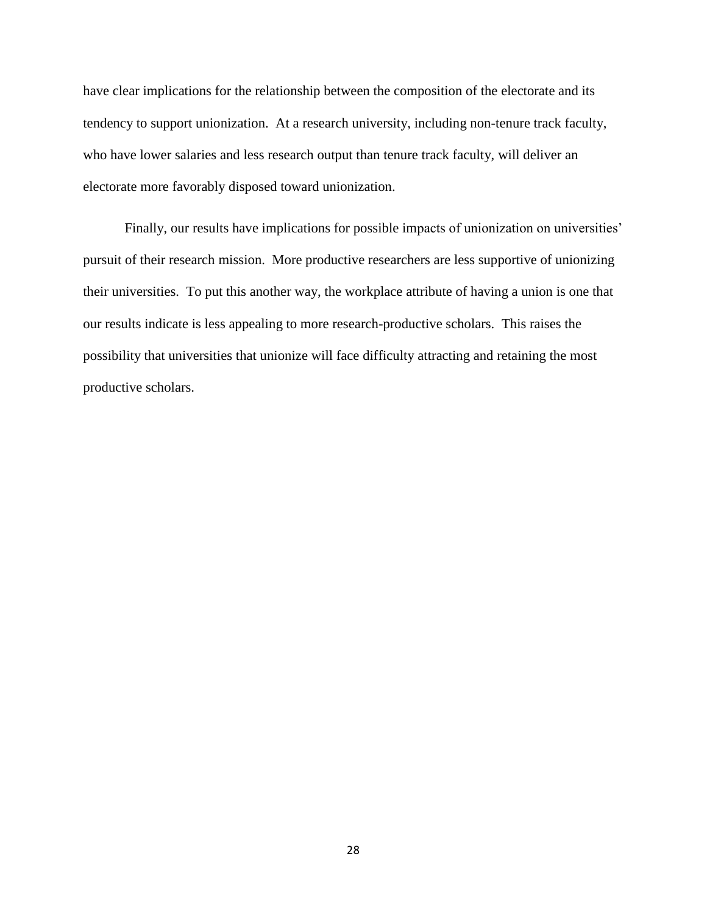have clear implications for the relationship between the composition of the electorate and its tendency to support unionization. At a research university, including non-tenure track faculty, who have lower salaries and less research output than tenure track faculty, will deliver an electorate more favorably disposed toward unionization.

Finally, our results have implications for possible impacts of unionization on universities' pursuit of their research mission. More productive researchers are less supportive of unionizing their universities. To put this another way, the workplace attribute of having a union is one that our results indicate is less appealing to more research-productive scholars. This raises the possibility that universities that unionize will face difficulty attracting and retaining the most productive scholars.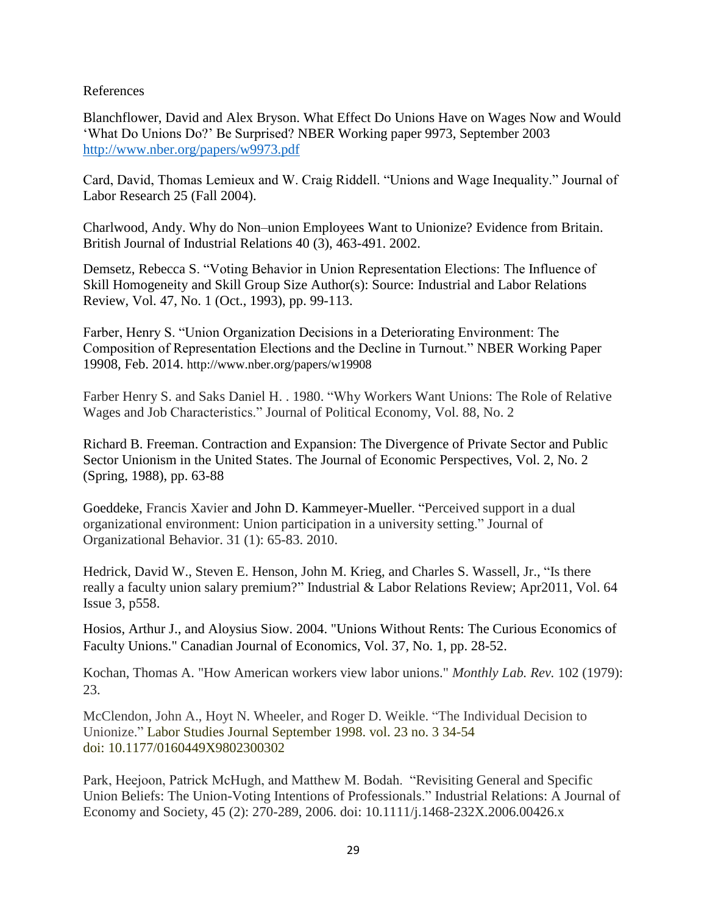### References

Blanchflower, David and Alex Bryson. What Effect Do Unions Have on Wages Now and Would 'What Do Unions Do?' Be Surprised? NBER Working paper 9973, September 2003 <http://www.nber.org/papers/w9973.pdf>

Card, David, Thomas Lemieux and W. Craig Riddell. "Unions and Wage Inequality." Journal of Labor Research 25 (Fall 2004).

Charlwood, Andy. [Why do Non–union Employees Want](https://scholar.google.co.uk/citations?view_op=view_citation&hl=en&user=u_mBhbwAAAAJ&citation_for_view=u_mBhbwAAAAJ:u5HHmVD_uO8C) to Unionize? Evidence from Britain. British Journal of Industrial Relations 40 (3), 463-491. 2002.

Demsetz, Rebecca S. "Voting Behavior in Union Representation Elections: The Influence of Skill Homogeneity and Skill Group Size Author(s): Source: Industrial and Labor Relations Review, Vol. 47, No. 1 (Oct., 1993), pp. 99-113.

Farber, Henry S. "Union Organization Decisions in a Deteriorating Environment: The Composition of Representation Elections and the Decline in Turnout." NBER Working Paper 19908, Feb. 2014. http://www.nber.org/papers/w19908

Farber Henry S. and Saks Daniel H. . 1980. "Why Workers Want Unions: The Role of Relative Wages and Job Characteristics." Journal of Political Economy, Vol. 88, No. 2

Richard B. Freeman. Contraction and Expansion: The Divergence of Private Sector and Public Sector Unionism in the United States. The Journal of Economic Perspectives, Vol. 2, No. 2 (Spring, 1988), pp. 63-88

Goeddeke, Francis Xavier and John D. Kammeyer-Mueller. "Perceived support in a dual organizational environment: Union participation in a university setting." Journal of Organizational Behavior. 31 (1): 65-83. 2010.

Hedrick, David W., Steven E. Henson, John M. Krieg, and Charles S. Wassell, Jr., "Is there really a faculty union salary premium?" Industrial & Labor Relations Review; Apr2011, Vol. 64 Issue 3, p558.

Hosios, Arthur J., and Aloysius Siow. 2004. "Unions Without Rents: The Curious Economics of Faculty Unions." Canadian Journal of Economics, Vol. 37, No. 1, pp. 28-52.

Kochan, Thomas A. "How American workers view labor unions." *Monthly Lab. Rev.* 102 (1979): 23.

[McClendon,](http://lsj.sagepub.com/search?author1=John+A.+McClendon&sortspec=date&submit=Submit) John A., Hoyt N. [Wheeler,](http://lsj.sagepub.com/search?author1=Hoyt+N.+Wheeler&sortspec=date&submit=Submit) and Roger D. [Weikle.](http://lsj.sagepub.com/search?author1=Roger+D.+Weikle&sortspec=date&submit=Submit) "The Individual Decision to Unionize." Labor Studies Journal September 1998. vol. 23 no. 3 34-54 doi: 10.1177/0160449X9802300302

Park, Heejoon, Patrick McHugh, and Matthew M. Bodah. "Revisiting General and Specific Union Beliefs: The Union-Voting Intentions of Professionals." Industrial Relations: A Journal of Economy and Society, 45 (2): 270-289, 2006. doi: 10.1111/j.1468-232X.2006.00426.x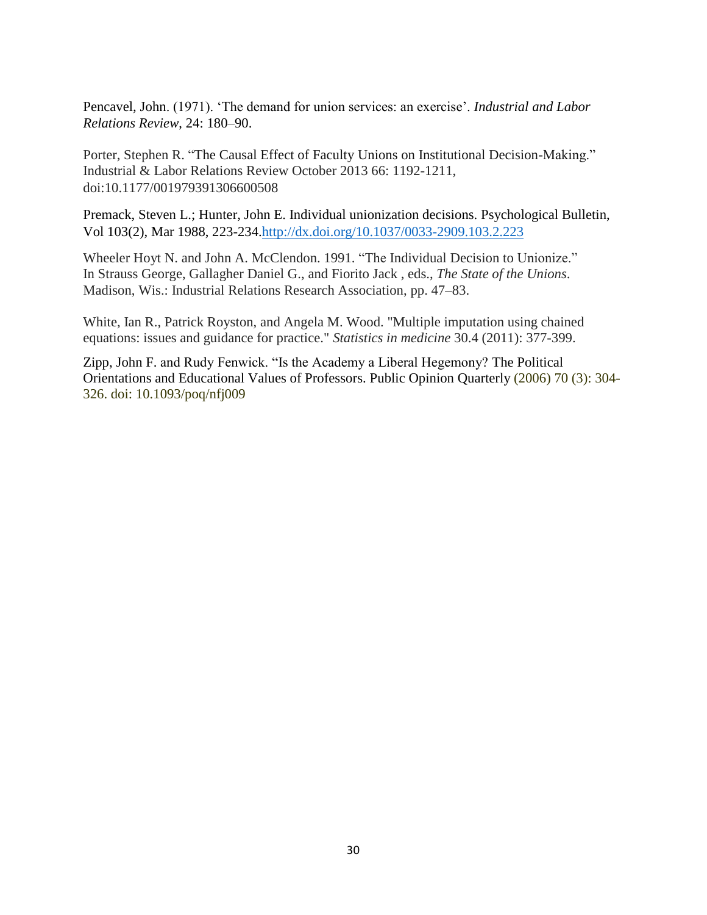Pencavel, John. (1971). 'The demand for union services: an exercise'. *Industrial and Labor Relations Review*, 24: 180–90.

Porter, Stephen R. "The Causal Effect of Faculty Unions on Institutional Decision-Making." Industrial & Labor Relations Review October 2013 66: 1192-1211, doi:10.1177/001979391306600508

Premack, Steven L.; Hunter, John E. Individual unionization decisions. Psychological Bulletin, Vol 103(2), Mar 1988, 223-234[.http://dx.doi.org/10.1037/0033-2909.103.2.223](http://psycnet.apa.org/doi/10.1037/0033-2909.103.2.223)

Wheeler Hoyt N. and John A. McClendon. 1991. "The Individual Decision to Unionize." In Strauss George, Gallagher Daniel G., and Fiorito Jack , eds., *The State of the Unions*. Madison, Wis.: Industrial Relations Research Association, pp. 47–83.

White, Ian R., Patrick Royston, and Angela M. Wood. "Multiple imputation using chained equations: issues and guidance for practice." *Statistics in medicine* 30.4 (2011): 377-399.

Zipp, John F. and Rudy Fenwick. "Is the Academy a Liberal Hegemony? The Political Orientations and Educational Values of Professors. Public Opinion Quarterly (2006) 70 (3): 304- 326. doi: 10.1093/poq/nfj009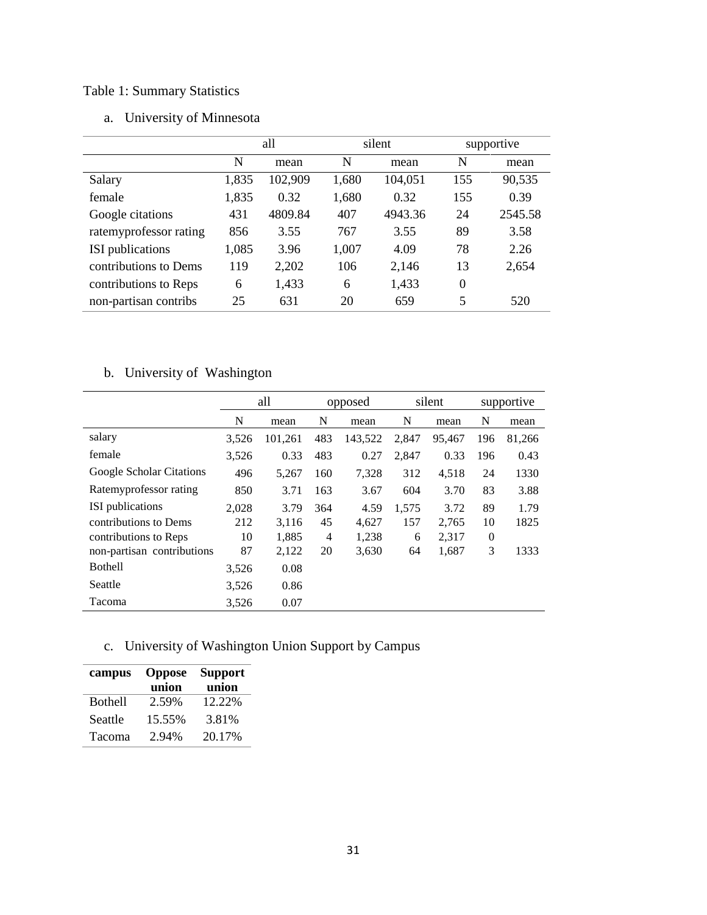### Table 1: Summary Statistics

| a. |  | University of Minnesota |
|----|--|-------------------------|
|----|--|-------------------------|

|                         | all   |         |       | silent  | supportive |         |
|-------------------------|-------|---------|-------|---------|------------|---------|
|                         | N     | mean    | N     | mean    | N          | mean    |
| Salary                  | 1,835 | 102,909 | 1,680 | 104,051 | 155        | 90,535  |
| female                  | 1,835 | 0.32    | 1,680 | 0.32    | 155        | 0.39    |
| Google citations        | 431   | 4809.84 | 407   | 4943.36 | 24         | 2545.58 |
| ratemyprofessor rating  | 856   | 3.55    | 767   | 3.55    | 89         | 3.58    |
| <b>ISI</b> publications | 1,085 | 3.96    | 1,007 | 4.09    | 78         | 2.26    |
| contributions to Dems   | 119   | 2,202   | 106   | 2,146   | 13         | 2,654   |
| contributions to Reps   | 6     | 1,433   | 6     | 1,433   | $\theta$   |         |
| non-partisan contribs   | 25    | 631     | 20    | 659     | 5          | 520     |

### b. University of Washington

|                            | all   |         | opposed |         | silent |        | supportive |        |
|----------------------------|-------|---------|---------|---------|--------|--------|------------|--------|
|                            | N     | mean    | N       | mean    | N      | mean   | N          | mean   |
| salary                     | 3,526 | 101,261 | 483     | 143,522 | 2,847  | 95,467 | 196        | 81,266 |
| female                     | 3,526 | 0.33    | 483     | 0.27    | 2,847  | 0.33   | 196        | 0.43   |
| Google Scholar Citations   | 496   | 5,267   | 160     | 7,328   | 312    | 4,518  | 24         | 1330   |
| Ratemyprofessor rating     | 850   | 3.71    | 163     | 3.67    | 604    | 3.70   | 83         | 3.88   |
| ISI publications           | 2,028 | 3.79    | 364     | 4.59    | 1,575  | 3.72   | 89         | 1.79   |
| contributions to Dems      | 212   | 3,116   | 45      | 4,627   | 157    | 2,765  | 10         | 1825   |
| contributions to Reps      | 10    | 1,885   | 4       | 1,238   | 6      | 2,317  | $\theta$   |        |
| non-partisan contributions | 87    | 2,122   | 20      | 3,630   | 64     | 1,687  | 3          | 1333   |
| Bothell                    | 3,526 | 0.08    |         |         |        |        |            |        |
| Seattle                    | 3,526 | 0.86    |         |         |        |        |            |        |
| Tacoma                     | 3,526 | 0.07    |         |         |        |        |            |        |

## c. University of Washington Union Support by Campus

| campus         | <b>Oppose</b><br>union | <b>Support</b><br>union |
|----------------|------------------------|-------------------------|
| <b>Bothell</b> | 2.59%                  | 12.22%                  |
| Seattle        | 15.55%                 | 3.81%                   |
| Tacoma         | 2.94%                  | 20.17%                  |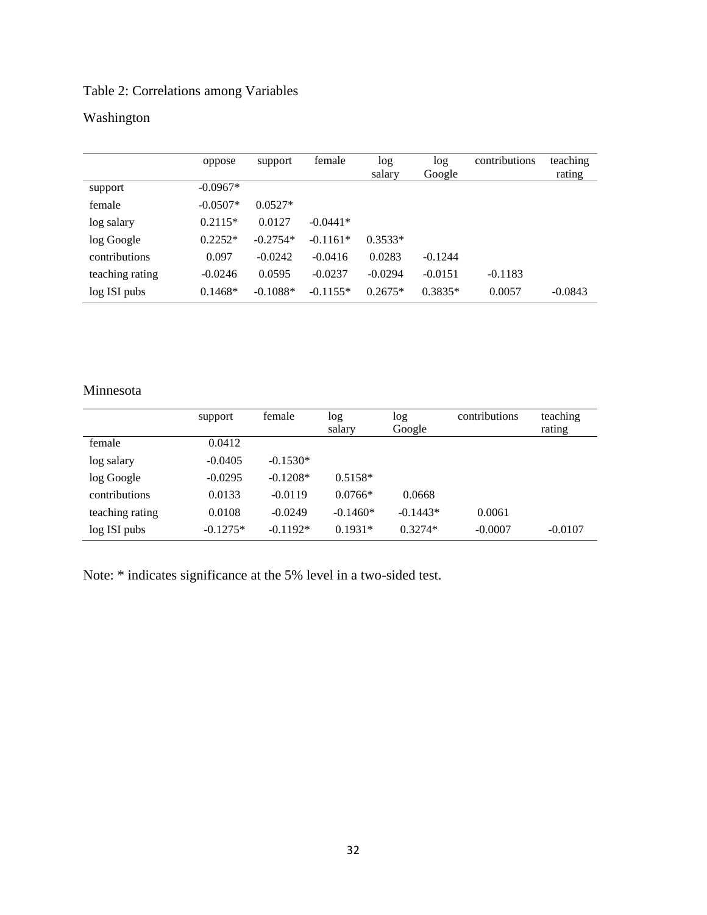### Table 2: Correlations among Variables

## Washington

|                 | oppose     | support    | female     | log<br>salary | log<br>Google | contributions | teaching<br>rating |
|-----------------|------------|------------|------------|---------------|---------------|---------------|--------------------|
| support         | $-0.0967*$ |            |            |               |               |               |                    |
| female          | $-0.0507*$ | $0.0527*$  |            |               |               |               |                    |
| log salary      | $0.2115*$  | 0.0127     | $-0.0441*$ |               |               |               |                    |
| log Google      | $0.2252*$  | $-0.2754*$ | $-0.1161*$ | $0.3533*$     |               |               |                    |
| contributions   | 0.097      | $-0.0242$  | $-0.0416$  | 0.0283        | $-0.1244$     |               |                    |
| teaching rating | $-0.0246$  | 0.0595     | $-0.0237$  | $-0.0294$     | $-0.0151$     | $-0.1183$     |                    |
| log ISI pubs    | $0.1468*$  | $-0.1088*$ | $-0.1155*$ | $0.2675*$     | $0.3835*$     | 0.0057        | $-0.0843$          |

### Minnesota

|                 | support    | female     | log<br>salary | log<br>Google | contributions | teaching<br>rating |
|-----------------|------------|------------|---------------|---------------|---------------|--------------------|
| female          | 0.0412     |            |               |               |               |                    |
| log salary      | $-0.0405$  | $-0.1530*$ |               |               |               |                    |
| log Google      | $-0.0295$  | $-0.1208*$ | $0.5158*$     |               |               |                    |
| contributions   | 0.0133     | $-0.0119$  | $0.0766*$     | 0.0668        |               |                    |
| teaching rating | 0.0108     | $-0.0249$  | $-0.1460*$    | $-0.1443*$    | 0.0061        |                    |
| log ISI pubs    | $-0.1275*$ | $-0.1192*$ | $0.1931*$     | $0.3274*$     | $-0.0007$     | $-0.0107$          |

Note: \* indicates significance at the 5% level in a two-sided test.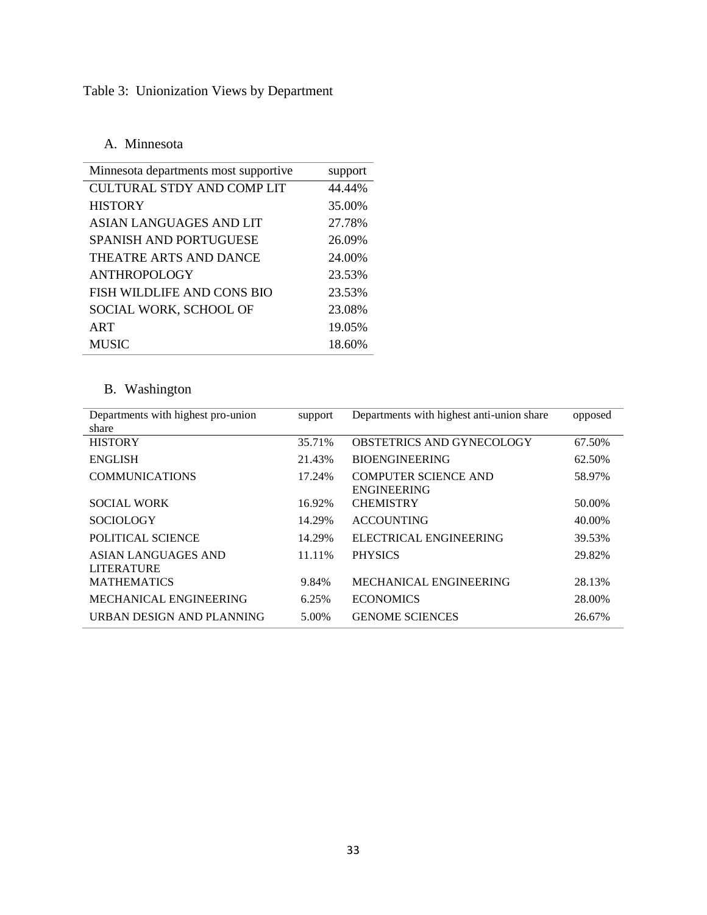## Table 3: Unionization Views by Department

### A. Minnesota

| Minnesota departments most supportive. | support |
|----------------------------------------|---------|
| CULTURAL STDY AND COMP LIT             | 44.44%  |
| <b>HISTORY</b>                         | 35.00%  |
| ASIAN LANGUAGES AND LIT                | 27.78%  |
| <b>SPANISH AND PORTUGUESE</b>          | 26.09%  |
| THEATRE ARTS AND DANCE                 | 24.00%  |
| ANTHROPOLOGY                           | 23.53%  |
| FISH WILDLIFE AND CONS BIO             | 23.53%  |
| SOCIAL WORK, SCHOOL OF                 | 23.08%  |
| ART                                    | 19.05%  |
| <b>MUSIC</b>                           | 18.60%  |

## B. Washington

| Departments with highest pro-union<br>share     | support | Departments with highest anti-union share         | opposed |
|-------------------------------------------------|---------|---------------------------------------------------|---------|
| <b>HISTORY</b>                                  | 35.71%  | <b>OBSTETRICS AND GYNECOLOGY</b>                  | 67.50%  |
| <b>ENGLISH</b>                                  | 21.43%  | <b>BIOENGINEERING</b>                             | 62.50%  |
| <b>COMMUNICATIONS</b>                           | 17.24%  | <b>COMPUTER SCIENCE AND</b><br><b>ENGINEERING</b> | 58.97%  |
| <b>SOCIAL WORK</b>                              | 16.92%  | <b>CHEMISTRY</b>                                  | 50.00%  |
| <b>SOCIOLOGY</b>                                | 14.29%  | <b>ACCOUNTING</b>                                 | 40.00%  |
| POLITICAL SCIENCE                               | 14.29%  | ELECTRICAL ENGINEERING                            | 39.53%  |
| <b>ASIAN LANGUAGES AND</b><br><b>LITERATURE</b> | 11.11%  | <b>PHYSICS</b>                                    | 29.82%  |
| <b>MATHEMATICS</b>                              | 9.84%   | MECHANICAL ENGINEERING                            | 28.13%  |
| MECHANICAL ENGINEERING                          | 6.25%   | <b>ECONOMICS</b>                                  | 28.00%  |
| URBAN DESIGN AND PLANNING                       | 5.00%   | <b>GENOME SCIENCES</b>                            | 26.67%  |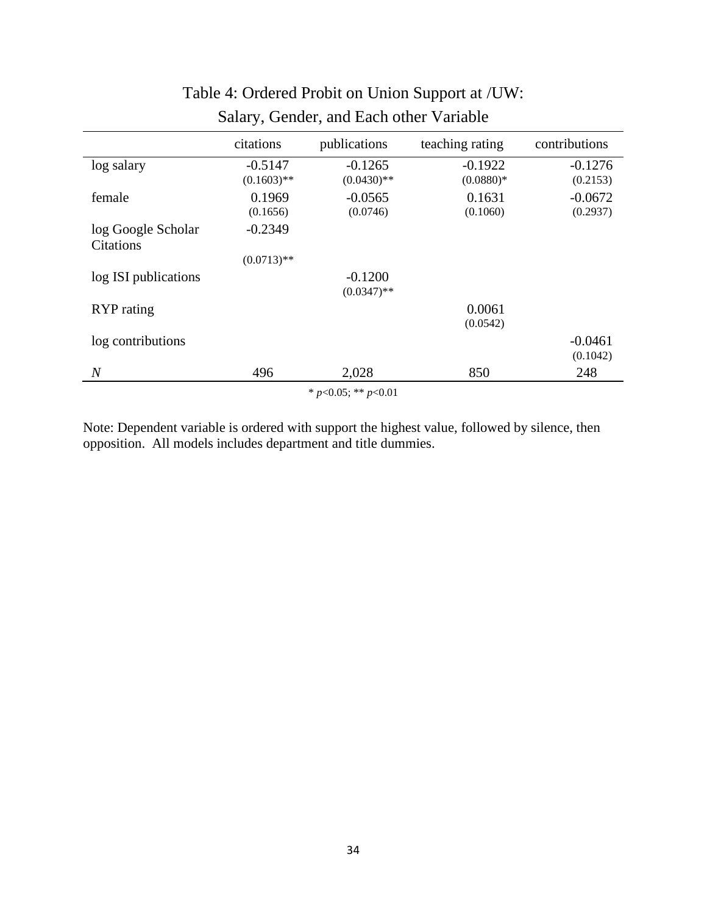|                          | citations     | publications  | teaching rating | contributions |  |  |  |
|--------------------------|---------------|---------------|-----------------|---------------|--|--|--|
| log salary               | $-0.5147$     | $-0.1265$     | $-0.1922$       | $-0.1276$     |  |  |  |
|                          | $(0.1603)$ ** | $(0.0430)$ ** | $(0.0880)*$     | (0.2153)      |  |  |  |
| female                   | 0.1969        | $-0.0565$     | 0.1631          | $-0.0672$     |  |  |  |
|                          | (0.1656)      | (0.0746)      | (0.1060)        | (0.2937)      |  |  |  |
| log Google Scholar       | $-0.2349$     |               |                 |               |  |  |  |
| <b>Citations</b>         |               |               |                 |               |  |  |  |
|                          | $(0.0713)$ ** |               |                 |               |  |  |  |
| log ISI publications     |               | $-0.1200$     |                 |               |  |  |  |
|                          |               | $(0.0347)$ ** |                 |               |  |  |  |
| RYP rating               |               |               | 0.0061          |               |  |  |  |
|                          |               |               | (0.0542)        |               |  |  |  |
| log contributions        |               |               |                 | $-0.0461$     |  |  |  |
|                          |               |               |                 | (0.1042)      |  |  |  |
| $\overline{N}$           | 496           | 2,028         | 850             | 248           |  |  |  |
| * $p<0.05$ ; ** $p<0.01$ |               |               |                 |               |  |  |  |

# Table 4: Ordered Probit on Union Support at /UW: Salary, Gender, and Each other Variable

Note: Dependent variable is ordered with support the highest value, followed by silence, then opposition. All models includes department and title dummies.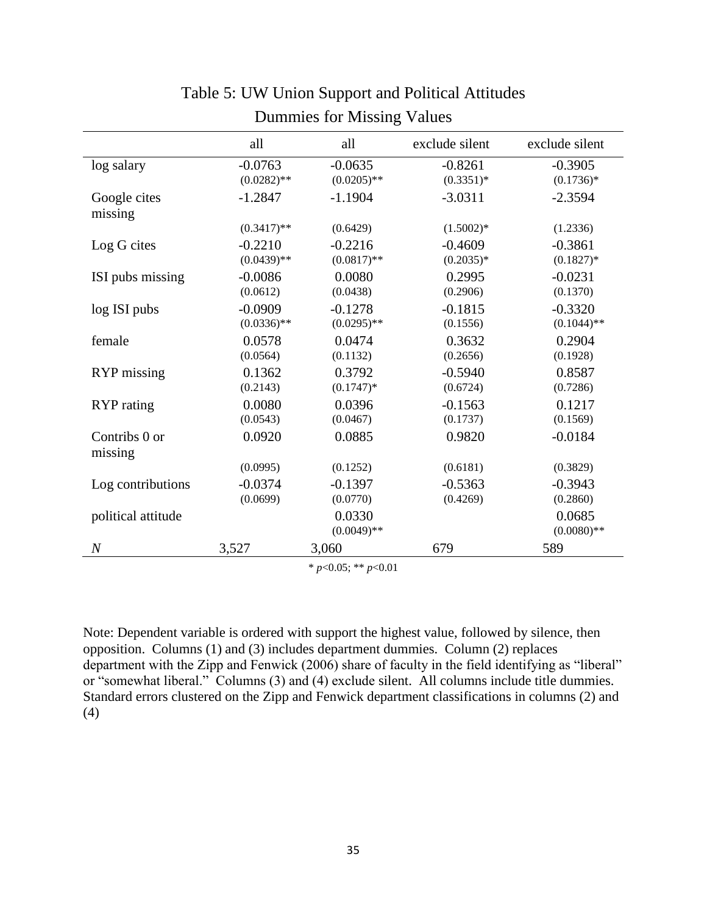|                          | all           | all                     | exclude silent | exclude silent          |
|--------------------------|---------------|-------------------------|----------------|-------------------------|
| log salary               | $-0.0763$     | $-0.0635$               | $-0.8261$      | $-0.3905$               |
|                          | $(0.0282)$ ** | $(0.0205)$ **           | $(0.3351)*$    | $(0.1736)*$             |
| Google cites<br>missing  | $-1.2847$     | $-1.1904$               | $-3.0311$      | $-2.3594$               |
|                          | $(0.3417)$ ** | (0.6429)                | $(1.5002)*$    | (1.2336)                |
| Log G cites              | $-0.2210$     | $-0.2216$               | $-0.4609$      | $-0.3861$               |
|                          | $(0.0439)$ ** | $(0.0817)$ **           | $(0.2035)*$    | $(0.1827)*$             |
| ISI pubs missing         | $-0.0086$     | 0.0080                  | 0.2995         | $-0.0231$               |
|                          | (0.0612)      | (0.0438)                | (0.2906)       | (0.1370)                |
| log ISI pubs             | $-0.0909$     | $-0.1278$               | $-0.1815$      | $-0.3320$               |
|                          | $(0.0336)$ ** | $(0.0295)$ **           | (0.1556)       | $(0.1044)$ **           |
| female                   | 0.0578        | 0.0474                  | 0.3632         | 0.2904                  |
|                          | (0.0564)      | (0.1132)                | (0.2656)       | (0.1928)                |
| RYP missing              | 0.1362        | 0.3792                  | $-0.5940$      | 0.8587                  |
|                          | (0.2143)      | $(0.1747)*$             | (0.6724)       | (0.7286)                |
| <b>RYP</b> rating        | 0.0080        | 0.0396                  | $-0.1563$      | 0.1217                  |
|                          | (0.0543)      | (0.0467)                | (0.1737)       | (0.1569)                |
| Contribs 0 or<br>missing | 0.0920        | 0.0885                  | 0.9820         | $-0.0184$               |
|                          | (0.0995)      | (0.1252)                | (0.6181)       | (0.3829)                |
| Log contributions        | $-0.0374$     | $-0.1397$               | $-0.5363$      | $-0.3943$               |
|                          | (0.0699)      | (0.0770)                | (0.4269)       | (0.2860)                |
| political attitude       |               | 0.0330<br>$(0.0049)$ ** |                | 0.0685<br>$(0.0080)$ ** |
| $\cal N$                 | 3,527         | 3,060                   | 679            | 589                     |

# Table 5: UW Union Support and Political Attitudes Dummies for Missing Values

\* *p*<0.05; \*\* *p*<0.01

Note: Dependent variable is ordered with support the highest value, followed by silence, then opposition. Columns (1) and (3) includes department dummies. Column (2) replaces department with the Zipp and Fenwick (2006) share of faculty in the field identifying as "liberal" or "somewhat liberal." Columns (3) and (4) exclude silent. All columns include title dummies. Standard errors clustered on the Zipp and Fenwick department classifications in columns (2) and (4)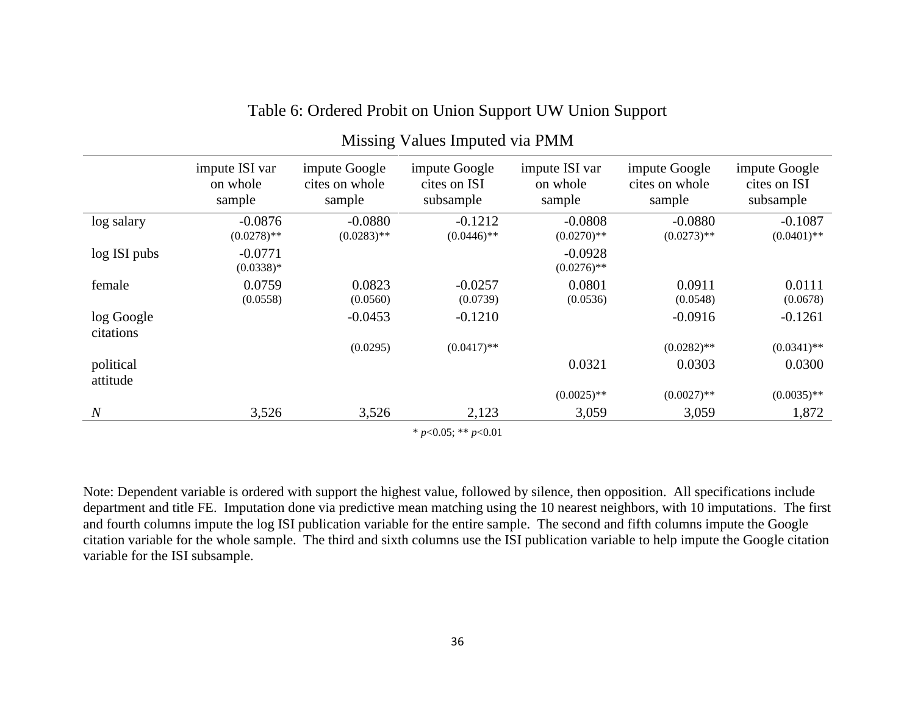|                         | impute ISI var<br>on whole<br>sample | impute Google<br>cites on whole<br>sample | impute Google<br>cites on ISI<br>subsample | impute ISI var<br>on whole<br>sample | impute Google<br>cites on whole<br>sample | impute Google<br>cites on ISI<br>subsample |
|-------------------------|--------------------------------------|-------------------------------------------|--------------------------------------------|--------------------------------------|-------------------------------------------|--------------------------------------------|
| log salary              | $-0.0876$<br>$(0.0278)$ **           | $-0.0880$<br>$(0.0283)$ **                | $-0.1212$<br>$(0.0446)$ **                 | $-0.0808$<br>$(0.0270)$ **           | $-0.0880$<br>$(0.0273)$ **                | $-0.1087$<br>$(0.0401)$ **                 |
| log ISI pubs            | $-0.0771$<br>$(0.0338)*$             |                                           |                                            | $-0.0928$<br>$(0.0276)$ **           |                                           |                                            |
| female                  | 0.0759<br>(0.0558)                   | 0.0823<br>(0.0560)                        | $-0.0257$<br>(0.0739)                      | 0.0801<br>(0.0536)                   | 0.0911<br>(0.0548)                        | 0.0111<br>(0.0678)                         |
| log Google<br>citations |                                      | $-0.0453$                                 | $-0.1210$                                  |                                      | $-0.0916$                                 | $-0.1261$                                  |
|                         |                                      | (0.0295)                                  | $(0.0417)$ **                              |                                      | $(0.0282)$ **                             | $(0.0341)$ **                              |
| political<br>attitude   |                                      |                                           |                                            | 0.0321                               | 0.0303                                    | 0.0300                                     |
|                         |                                      |                                           |                                            | $(0.0025)$ **                        | $(0.0027)$ **                             | $(0.0035)$ **                              |
| $\overline{N}$          | 3,526                                | 3,526                                     | 2,123                                      | 3,059                                | 3,059                                     | 1,872                                      |

### Table 6: Ordered Probit on Union Support UW Union Support

Missing Values Imputed via PMM

\* *p*<0.05; \*\* *p*<0.01

Note: Dependent variable is ordered with support the highest value, followed by silence, then opposition. All specifications include department and title FE. Imputation done via predictive mean matching using the 10 nearest neighbors, with 10 imputations. The first and fourth columns impute the log ISI publication variable for the entire sample. The second and fifth columns impute the Google citation variable for the whole sample. The third and sixth columns use the ISI publication variable to help impute the Google citation variable for the ISI subsample.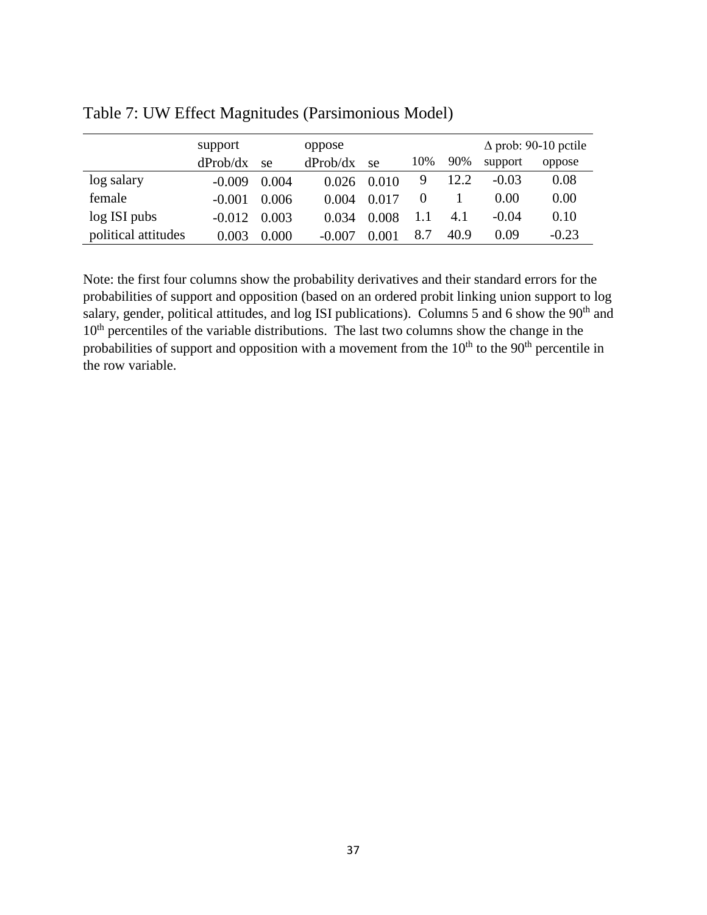|                     | support  |       | oppose   |       |     | $\Delta$ prob: 90-10 pctile |         |         |
|---------------------|----------|-------|----------|-------|-----|-----------------------------|---------|---------|
|                     | dProb/dx | se    | dProb/dx | se    | 10% | 90%                         | support | oppose  |
| log salary          | $-0.009$ | 0.004 | 0.026    | 0.010 | 9   | 12.2                        | $-0.03$ | 0.08    |
| female              | $-0.001$ | 0.006 | 0.004    | 0.017 |     |                             | 0.00    | 0.00    |
| log ISI pubs        | $-0.012$ | 0.003 | 0.034    | 0.008 |     | 4.1                         | $-0.04$ | 0.10    |
| political attitudes | 0.003    | 0.000 | $-0.007$ | 0.001 | 8.7 | 40.9                        | 0.09    | $-0.23$ |

Table 7: UW Effect Magnitudes (Parsimonious Model)

Note: the first four columns show the probability derivatives and their standard errors for the probabilities of support and opposition (based on an ordered probit linking union support to log salary, gender, political attitudes, and log ISI publications). Columns 5 and 6 show the 90<sup>th</sup> and 10<sup>th</sup> percentiles of the variable distributions. The last two columns show the change in the probabilities of support and opposition with a movement from the  $10<sup>th</sup>$  to the  $90<sup>th</sup>$  percentile in the row variable.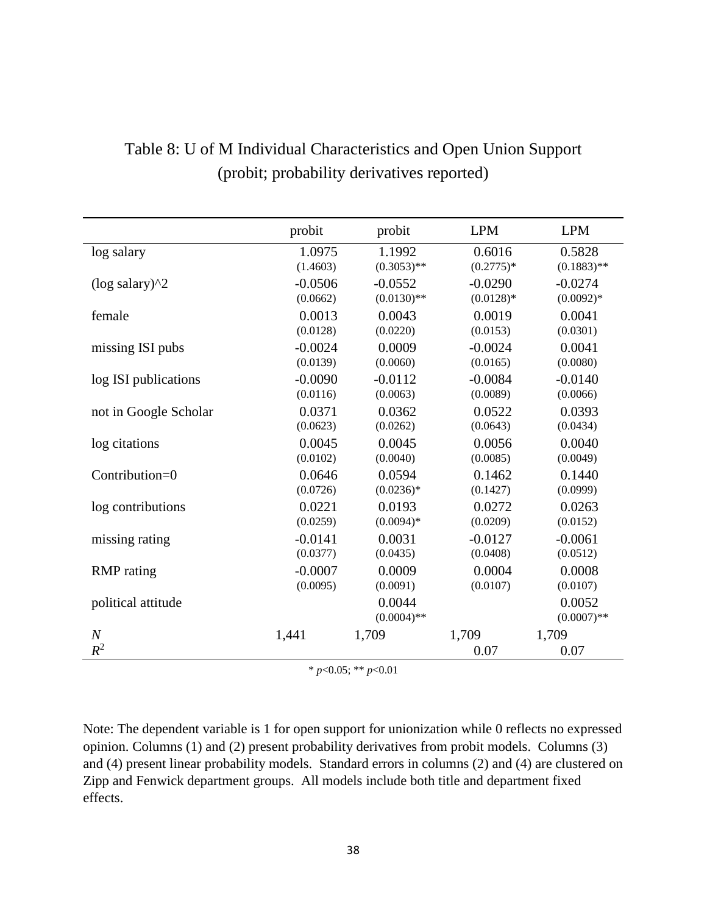|                              | probit    | probit                  | <b>LPM</b>    | <b>LPM</b>              |
|------------------------------|-----------|-------------------------|---------------|-------------------------|
| log salary                   | 1.0975    | 1.1992                  | 0.6016        | 0.5828                  |
|                              | (1.4603)  | $(0.3053)$ **           | $(0.2775)*$   | $(0.1883)$ **           |
| $(\log$ salary $)^{\wedge}2$ | $-0.0506$ | $-0.0552$               | $-0.0290$     | $-0.0274$               |
|                              | (0.0662)  | $(0.0130)$ **           | $(0.0128)*$   | $(0.0092)*$             |
| female                       | 0.0013    | 0.0043                  | 0.0019        | 0.0041                  |
|                              | (0.0128)  | (0.0220)                | (0.0153)      | (0.0301)                |
| missing ISI pubs             | $-0.0024$ | 0.0009                  | $-0.0024$     | 0.0041                  |
|                              | (0.0139)  | (0.0060)                | (0.0165)      | (0.0080)                |
| log ISI publications         | $-0.0090$ | $-0.0112$               | $-0.0084$     | $-0.0140$               |
|                              | (0.0116)  | (0.0063)                | (0.0089)      | (0.0066)                |
| not in Google Scholar        | 0.0371    | 0.0362                  | 0.0522        | 0.0393                  |
|                              | (0.0623)  | (0.0262)                | (0.0643)      | (0.0434)                |
| log citations                | 0.0045    | 0.0045                  | 0.0056        | 0.0040                  |
|                              | (0.0102)  | (0.0040)                | (0.0085)      | (0.0049)                |
| Contribution=0               | 0.0646    | 0.0594                  | 0.1462        | 0.1440                  |
|                              | (0.0726)  | $(0.0236)*$             | (0.1427)      | (0.0999)                |
| log contributions            | 0.0221    | 0.0193                  | 0.0272        | 0.0263                  |
|                              | (0.0259)  | $(0.0094)*$             | (0.0209)      | (0.0152)                |
| missing rating               | $-0.0141$ | 0.0031                  | $-0.0127$     | $-0.0061$               |
|                              | (0.0377)  | (0.0435)                | (0.0408)      | (0.0512)                |
| <b>RMP</b> rating            | $-0.0007$ | 0.0009                  | 0.0004        | 0.0008                  |
|                              | (0.0095)  | (0.0091)                | (0.0107)      | (0.0107)                |
| political attitude           |           | 0.0044<br>$(0.0004)$ ** |               | 0.0052<br>$(0.0007)$ ** |
| $\boldsymbol{N}$<br>$R^2$    | 1,441     | 1,709                   | 1,709<br>0.07 | 1,709<br>0.07           |

# Table 8: U of M Individual Characteristics and Open Union Support (probit; probability derivatives reported)

\* *p*<0.05; \*\* *p*<0.01

Note: The dependent variable is 1 for open support for unionization while 0 reflects no expressed opinion. Columns (1) and (2) present probability derivatives from probit models. Columns (3) and (4) present linear probability models. Standard errors in columns (2) and (4) are clustered on Zipp and Fenwick department groups. All models include both title and department fixed effects.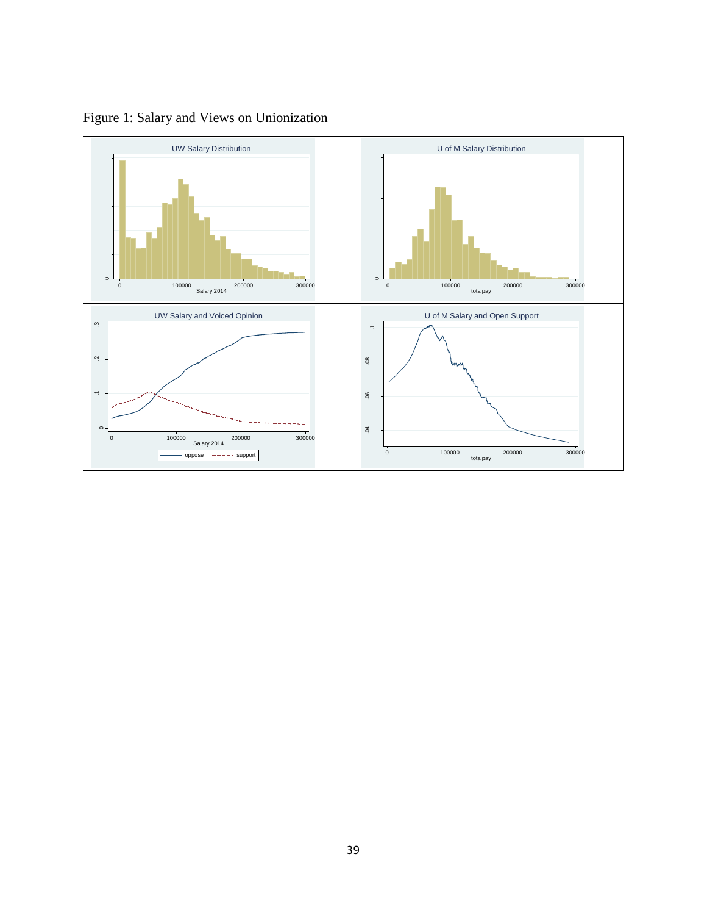

Figure 1: Salary and Views on Unionization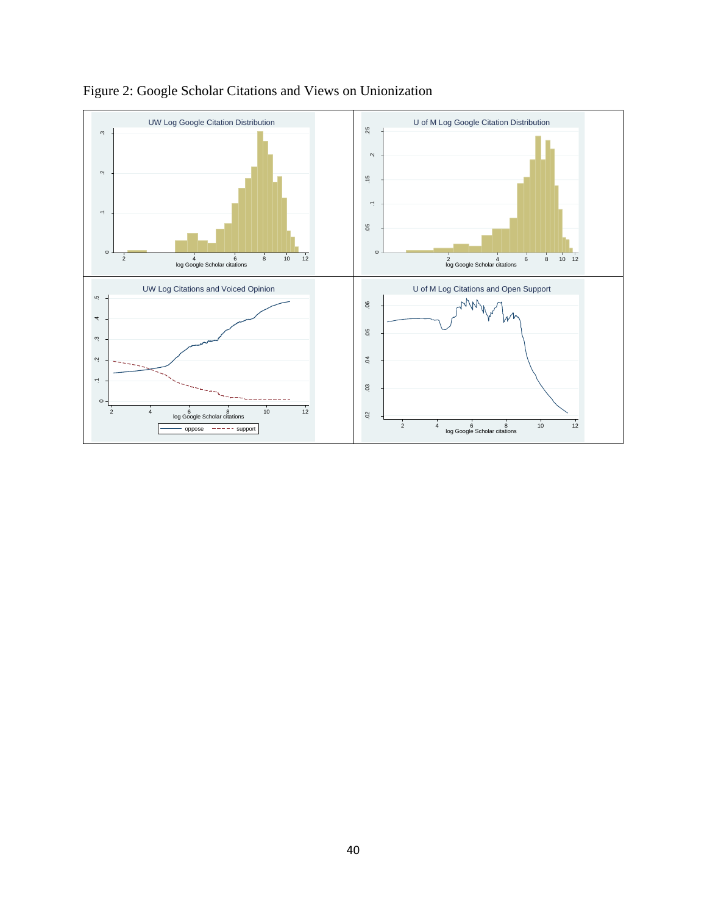

Figure 2: Google Scholar Citations and Views on Unionization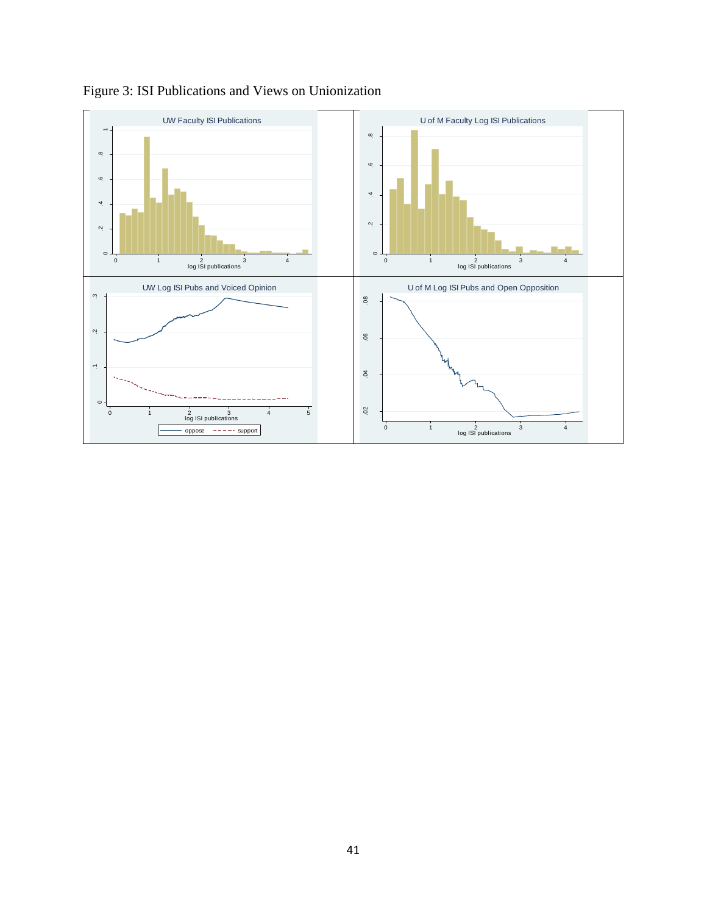

Figure 3: ISI Publications and Views on Unionization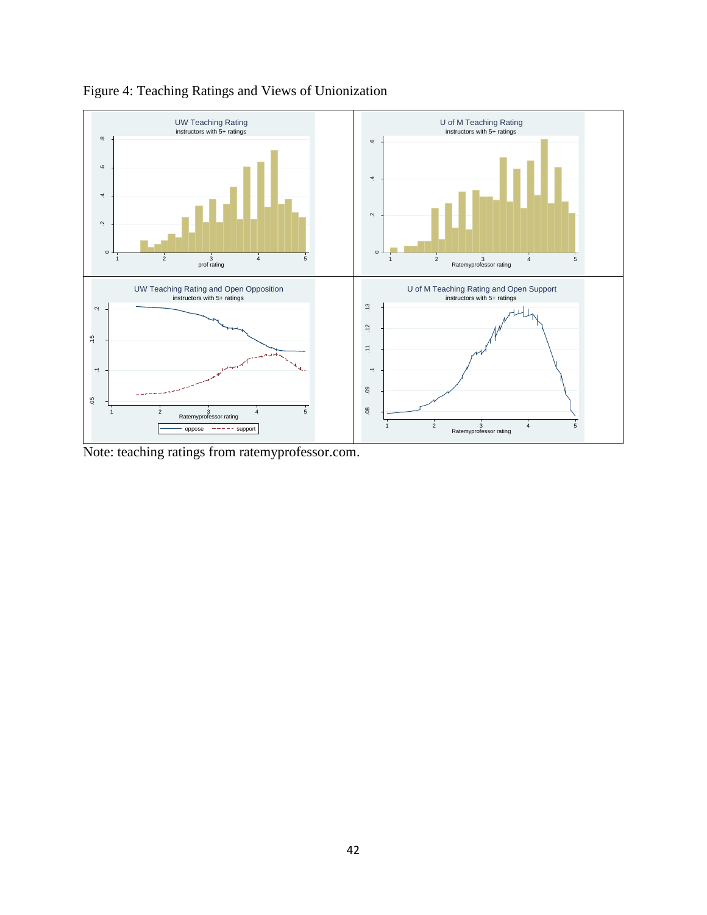

Figure 4: Teaching Ratings and Views of Unionization

Note: teaching ratings from ratemyprofessor.com.